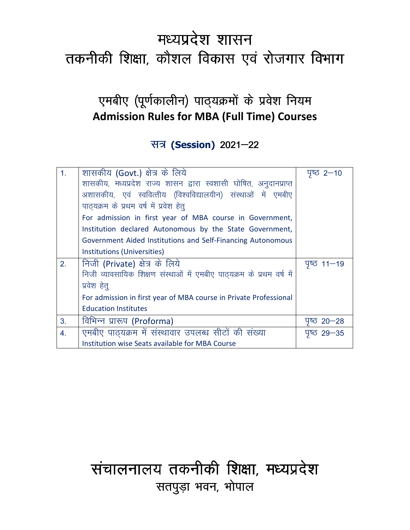# मध्यप्रदेश शासन तकनीकी शिक्षा, कौशल विकास एवं रोजगार विभाग

## एमबीए (पूर्णकालीन) पाठ्यक्रमों के प्रवेश नियम **Admission Rules for MBA (Full Time) Courses**

### सत्र (Session) 2021-22

| 1 <sub>1</sub> | शासकीय (Govt.) क्षेत्र के लिये                                        | $45 - 10$           |
|----------------|-----------------------------------------------------------------------|---------------------|
|                | शासकीय, मध्यप्रदेश राज्य शासन द्वारा स्वशासी घोषित, अनुदानप्राप्त     |                     |
|                | अशासकीय, एवं स्ववित्तीय (विश्वविद्यालयीन) संस्थाओं में एमबीए          |                     |
|                | पाठ्यक्रम के प्रथम वर्ष में प्रवेश हेतू                               |                     |
|                | For admission in first year of MBA course in Government,              |                     |
|                | Institution declared Autonomous by the State Government,              |                     |
|                | Government Aided Institutions and Self-Financing Autonomous           |                     |
|                | Institutions (Universities)                                           |                     |
| 2.             | निजी (Private) क्षेत्र के लिये                                        | $45 - 19$           |
|                | निजी व्यावसायिक शिक्षण संस्थाओं में एमबीए पाठ्यक्रम के प्रथम वर्ष में |                     |
|                | प्रवेश हेतू                                                           |                     |
|                | For admission in first year of MBA course in Private Professional     |                     |
|                | <b>Education Institutes</b>                                           |                     |
| 3.             | विभिन्न प्रारूप (Proforma)                                            | $4620 - 28$         |
| 4.             | एमबीए पाठ्यक्रम में संस्थावार उपलब्ध सीटों की संख्या                  | <u>ਧੁ</u> ષ્ড 29—35 |
|                |                                                                       |                     |

# संचालनालय तकनीकी शिक्षा, मध्यप्रदेश सतपुड़ा भवन, भोपाल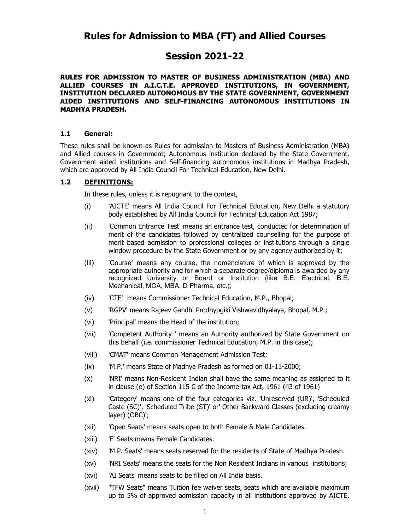### **Session 2021-22**

#### **RULES FOR ADMISSION TO MASTER OF BUSINESS ADMINISTRATION (MBA) AND ALLIED COURSES IN A.I.C.T.E. APPROVED INSTITUTIONS, IN GOVERNMENT, INSTITUTION DECLARED AUTONOMOUS BY THE STATE GOVERNMENT, GOVERNMENT AIDED INSTITUTIONS AND SELF-FINANCING AUTONOMOUS INSTITUTIONS IN MADHYA PRADESH.**

#### **1.1 General:**

These rules shall be known as Rules for admission to Masters of Business Administration (MBA) and Allied courses in Government; Autonomous institution declared by the State Government, Government aided institutions and Self-financing autonomous institutions in Madhya Pradesh, which are approved by All India Council For Technical Education, New Delhi.

#### **1.2 DEFINITIONS:**

In these rules, unless it is repugnant to the context,

- (i) 'AICTE' means All India Council For Technical Education, New Delhi a statutory body established by All India Council for Technical Education Act 1987;
- (ii) 'Common Entrance Test' means an entrance test, conducted for determination of merit of the candidates followed by centralized counselling for the purpose of merit based admission to professional colleges or institutions through a single window procedure by the State Government or by any agency authorized by it;
- (iii) 'Course' means any course, the nomenclature of which is approved by the appropriate authority and for which a separate degree/diploma is awarded by any recognized University or Board or Institution (like B.E. Electrical, B.E. Mechanical, MCA, MBA, D Pharma, etc.);
- (iv) 'CTE' means Commissioner Technical Education, M.P., Bhopal;
- (v) 'RGPV' means Rajeev Gandhi Prodhyogiki Vishwavidhyalaya, Bhopal, M.P.;
- (vi) 'Principal' means the Head of the institution;
- (vii) 'Competent Authority ' means an Authority authorized by State Government on this behalf (i.e. commissioner Technical Education, M.P. in this case);
- (viii) 'CMAT' means Common Management Admission Test;
- (ix) 'M.P.' means State of Madhya Pradesh as formed on 01-11-2000;
- (x) 'NRI' means Non-Resident Indian shall have the same meaning as assigned to it in clause (e) of Section 115 C of the Income-tax Act, 1961 (43 of 1961)
- (xi) 'Category' means one of the four categories viz. 'Unreserved (UR)', 'Scheduled Caste (SC)', 'Scheduled Tribe (ST)' or' Other Backward Classes (excluding creamy layer) (OBC)';
- (xii) 'Open Seats' means seats open to both Female & Male Candidates.
- (xiii) 'F' Seats means Female Candidates.
- (xiv) 'M.P. Seats' means seats reserved for the residents of State of Madhya Pradesh.
- (xv) 'NRI Seats' means the seats for the Non Resident Indians in various institutions;
- (xvi) 'AI Seats' means seats to be filled on All India basis.
- (xvii) "TFW Seats" means Tuition fee waiver seats, seats which are available maximum up to 5% of approved admission capacity in all institutions approved by AICTE.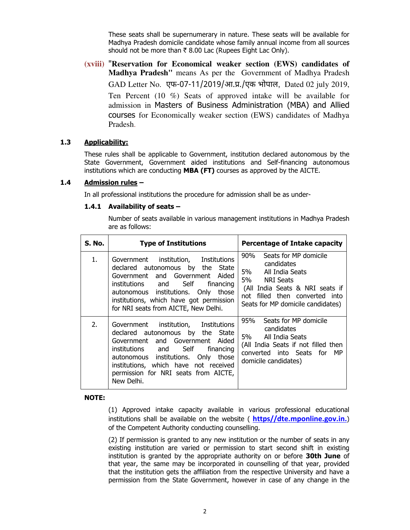These seats shall be supernumerary in nature. These seats will be available for Madhya Pradesh domicile candidate whose family annual income from all sources should not be more than  $\bar{\tau}$  8.00 Lac (Rupees Eight Lac Only).

**(xviii)** "**Reservation for Economical weaker section (EWS) candidates of Madhya Pradesh"** means As per the Government of Madhya Pradesh GAD Letter No. एफ-07-11/2019/आ.प्र./एक भोपाल, Dated 02 july 2019, Ten Percent (10 %) Seats of approved intake will be available for admission in Masters of Business Administration (MBA) and Allied courses for Economically weaker section (EWS) candidates of Madhya Pradesh.

#### **1.3 Applicability:**

These rules shall be applicable to Government, institution declared autonomous by the State Government, Government aided institutions and Self-financing autonomous institutions which are conducting **MBA (FT)** courses as approved by the AICTE.

#### **1.4 Admission rules –**

In all professional institutions the procedure for admission shall be as under-

#### **1.4.1 Availability of seats –**

Number of seats available in various management institutions in Madhya Pradesh are as follows:

| S. No. | <b>Type of Institutions</b>                                                                                                                                                                                                                                                                      | Percentage of Intake capacity                                                                                                                                                                             |
|--------|--------------------------------------------------------------------------------------------------------------------------------------------------------------------------------------------------------------------------------------------------------------------------------------------------|-----------------------------------------------------------------------------------------------------------------------------------------------------------------------------------------------------------|
| 1.     | Institutions<br>institution,<br>Government<br>declared autonomous by the<br>State<br>Government and Government Aided<br>Self<br>institutions and<br>financing<br>autonomous institutions. Only those<br>institutions, which have got permission<br>for NRI seats from AICTE, New Delhi.          | Seats for MP domicile<br>90%<br>candidates<br>5% a<br>All India Seats<br>5%<br><b>NRI Seats</b><br>(All India Seats & NRI seats if<br>not filled then converted into<br>Seats for MP domicile candidates) |
| 2.     | institution, Institutions<br>Government<br>declared autonomous by the<br>State<br>Government and Government Aided<br>institutions and Self<br>financing<br>autonomous institutions. Only<br>those<br>institutions, which have not received<br>permission for NRI seats from AICTE,<br>New Delhi. | 95%<br>Seats for MP domicile<br>candidates<br>5%<br>All India Seats<br>(All India Seats if not filled then<br>converted into Seats for MP<br>domicile candidates)                                         |

#### **NOTE:**

(1) Approved intake capacity available in various professional educational institutions shall be available on the website ( **https//dte.mponline.gov.in.**) of the Competent Authority conducting counselling.

(2) If permission is granted to any new institution or the number of seats in any existing institution are varied or permission to start second shift in existing institution is granted by the appropriate authority on or before **30th June** of that year, the same may be incorporated in counselling of that year, provided that the institution gets the affiliation from the respective University and have a permission from the State Government, however in case of any change in the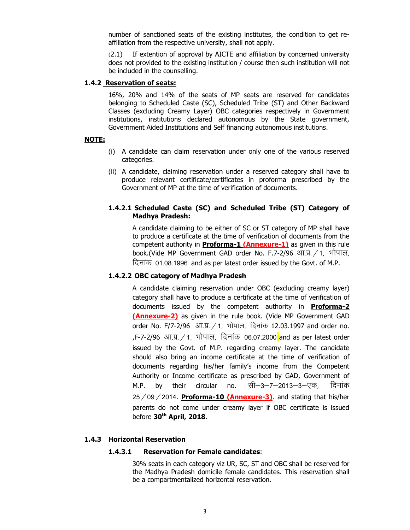number of sanctioned seats of the existing institutes, the condition to get reaffiliation from the respective university, shall not apply.

 (2.1) If extention of approval by AICTE and affiliation by concerned university does not provided to the existing institution / course then such institution will not be included in the counselling.

#### **1.4.2 Reservation of seats:**

16%, 20% and 14% of the seats of MP seats are reserved for candidates belonging to Scheduled Caste (SC), Scheduled Tribe (ST) and Other Backward Classes (excluding Creamy Layer) OBC categories respectively in Government institutions, institutions declared autonomous by the State government, Government Aided Institutions and Self financing autonomous institutions.

#### **NOTE:**

- (i) A candidate can claim reservation under only one of the various reserved categories.
- (ii) A candidate, claiming reservation under a reserved category shall have to produce relevant certificate/certificates in proforma prescribed by the Government of MP at the time of verification of documents.

#### **1.4.2.1 Scheduled Caste (SC) and Scheduled Tribe (ST) Category of Madhya Pradesh:**

A candidate claiming to be either of SC or ST category of MP shall have to produce a certificate at the time of verification of documents from the competent authority in **Proforma-1 (Annexure-1)** as given in this rule book.(Vide MP Government GAD order No. F.7-2/96 आ.प्र.  $/1$ , भोपाल, दिनांक 01.08.1996 and as per latest order issued by the Govt. of M.P.

#### **1.4.2.2 OBC category of Madhya Pradesh**

A candidate claiming reservation under OBC (excluding creamy layer) category shall have to produce a certificate at the time of verification of documents issued by the competent authority in **Proforma-2 (Annexure-2)** as given in the rule book. (Vide MP Government GAD order No. F/7-2/96 आ.प्र. / 1, भोपाल, दिनांक 12.03.1997 and order no. ,F-7-2/96 आ.प्र. / 1, भोपाल, दिनांक 06.07.2000 and as per latest order issued by the Govt. of M.P. regarding creamy layer. The candidate should also bring an income certificate at the time of verification of documents regarding his/her family's income from the Competent Authority or Income certificate as prescribed by GAD, Government of M.P. by their circular no. सी—3—7—2013—3—एक, दिनांक  $25/09/2014$ . **Proforma-10 (Annexure-3)**. and stating that his/her parents do not come under creamy layer if OBC certificate is issued before **30th April, 2018**.

#### **1.4.3 Horizontal Reservation**

#### **1.4.3.1 Reservation for Female candidates**:

30% seats in each category viz UR, SC, ST and OBC shall be reserved for the Madhya Pradesh domicile female candidates. This reservation shall be a compartmentalized horizontal reservation.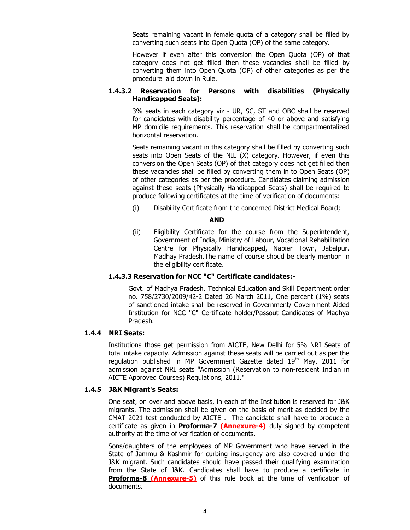Seats remaining vacant in female quota of a category shall be filled by converting such seats into Open Quota (OP) of the same category.

However if even after this conversion the Open Quota (OP) of that category does not get filled then these vacancies shall be filled by converting them into Open Quota (OP) of other categories as per the procedure laid down in Rule.

#### **1.4.3.2 Reservation for Persons with disabilities (Physically Handicapped Seats):**

3% seats in each category viz - UR, SC, ST and OBC shall be reserved for candidates with disability percentage of 40 or above and satisfying MP domicile requirements. This reservation shall be compartmentalized horizontal reservation.

Seats remaining vacant in this category shall be filled by converting such seats into Open Seats of the NIL (X) category. However, if even this conversion the Open Seats (OP) of that category does not get filled then these vacancies shall be filled by converting them in to Open Seats (OP) of other categories as per the procedure. Candidates claiming admission against these seats (Physically Handicapped Seats) shall be required to produce following certificates at the time of verification of documents:-

(i) Disability Certificate from the concerned District Medical Board;

#### **AND**

(ii) Eligibility Certificate for the course from the Superintendent, Government of India, Ministry of Labour, Vocational Rehabilitation Centre for Physically Handicapped, Napier Town, Jabalpur. Madhay Pradesh.The name of course shoud be clearly mention in the eligibility certificate.

#### **1.4.3.3 Reservation for NCC "C" Certificate candidates:-**

Govt. of Madhya Pradesh, Technical Education and Skill Department order no. 758/2730/2009/42-2 Dated 26 March 2011, One percent (1%) seats of sanctioned intake shall be reserved in Government/ Government Aided Institution for NCC "C" Certificate holder/Passout Candidates of Madhya Pradesh.

#### **1.4.4 NRI Seats:**

Institutions those get permission from AICTE, New Delhi for 5% NRI Seats of total intake capacity. Admission against these seats will be carried out as per the regulation published in MP Government Gazette dated 19<sup>th</sup> May, 2011 for admission against NRI seats "Admission (Reservation to non-resident Indian in AICTE Approved Courses) Regulations, 2011."

#### **1.4.5 J&K Migrant's Seats:**

One seat, on over and above basis, in each of the Institution is reserved for J&K migrants. The admission shall be given on the basis of merit as decided by the CMAT 2021 test conducted by AICTE . The candidate shall have to produce a certificate as given in **Proforma-7 (Annexure-4)** duly signed by competent authority at the time of verification of documents.

Sons/daughters of the employees of MP Government who have served in the State of Jammu & Kashmir for curbing insurgency are also covered under the J&K migrant. Such candidates should have passed their qualifying examination from the State of J&K. Candidates shall have to produce a certificate in **Proforma-8 (Annexure-5)** of this rule book at the time of verification of documents.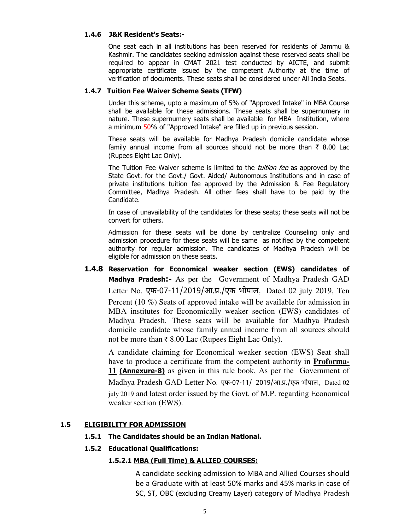#### **1.4.6 J&K Resident's Seats:-**

One seat each in all institutions has been reserved for residents of Jammu & Kashmir. The candidates seeking admission against these reserved seats shall be required to appear in CMAT 2021 test conducted by AICTE, and submit appropriate certificate issued by the competent Authority at the time of verification of documents. These seats shall be considered under All India Seats.

#### **1.4.7 Tuition Fee Waiver Scheme Seats (TFW)**

Under this scheme, upto a maximum of 5% of "Approved Intake" in MBA Course shall be available for these admissions. These seats shall be supernumery in nature. These supernumery seats shall be available for MBA Institution, where a minimum 50% of "Approved Intake" are filled up in previous session.

These seats will be available for Madhya Pradesh domicile candidate whose family annual income from all sources should not be more than  $\bar{\tau}$  8.00 Lac (Rupees Eight Lac Only).

The Tuition Fee Waiver scheme is limited to the *tuition fee* as approved by the State Govt. for the Govt./ Govt. Aided/ Autonomous Institutions and in case of private institutions tuition fee approved by the Admission & Fee Regulatory Committee, Madhya Pradesh. All other fees shall have to be paid by the Candidate.

In case of unavailability of the candidates for these seats; these seats will not be convert for others.

Admission for these seats will be done by centralize Counseling only and admission procedure for these seats will be same as notified by the competent authority for regular admission. The candidates of Madhya Pradesh will be eligible for admission on these seats.

**1.4.8 Reservation for Economical weaker section (EWS) candidates of Madhya Pradesh:-** As per the Government of Madhya Pradesh GAD Letter No. एफ-07-11/2019/आ.प्र./एक भोपाल, Dated 02 july 2019, Ten Percent (10 %) Seats of approved intake will be available for admission in MBA institutes for Economically weaker section (EWS) candidates of Madhya Pradesh. These seats will be available for Madhya Pradesh domicile candidate whose family annual income from all sources should not be more than  $\bar{\tau}$  8.00 Lac (Rupees Eight Lac Only).

A candidate claiming for Economical weaker section (EWS) Seat shall have to produce a certificate from the competent authority in **Proforma-11 (Annexure-8)** as given in this rule book, As per the Government of Madhya Pradesh GAD Letter No. एफ-07-11/ 2019/आ.प्र./एक भोपाल, Dated 02 july 2019 and latest order issued by the Govt. of M.P. regarding Economical weaker section (EWS).

#### **1.5 ELIGIBILITY FOR ADMISSION**

#### **1.5.1 The Candidates should be an Indian National.**

#### **1.5.2 Educational Qualifications:**

#### **1.5.2.1 MBA (Full Time) & ALLIED COURSES:**

A candidate seeking admission to MBA and Allied Courses should be a Graduate with at least 50% marks and 45% marks in case of SC, ST, OBC (excluding Creamy Layer) category of Madhya Pradesh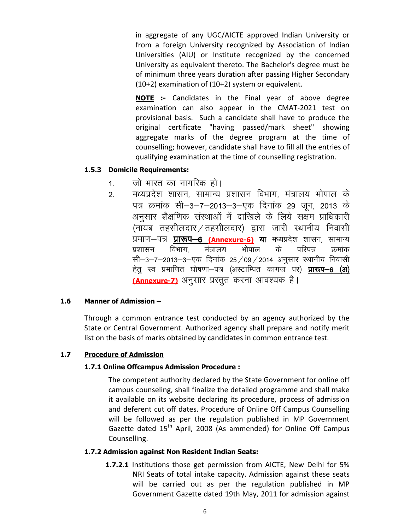in aggregate of any UGC/AICTE approved Indian University or from a foreign University recognized by Association of Indian Universities (AIU) or Institute recognized by the concerned University as equivalent thereto. The Bachelor's degree must be of minimum three years duration after passing Higher Secondary (10+2) examination of (10+2) system or equivalent.

**NOTE :-** Candidates in the Final year of above degree examination can also appear in the CMAT-2021 test on provisional basis. Such a candidate shall have to produce the original certificate "having passed/mark sheet" showing aggregate marks of the degree program at the time of counselling; however, candidate shall have to fill all the entries of qualifying examination at the time of counselling registration.

#### **1.5.3 Domicile Requirements:**

- 1. जो भारत का नागरिक हो।
- 2. मध्यप्रदेश शासन, सामान्य प्रशासन विभाग, मंत्रालय भोपाल के पत्र क्रमांक सी–3–7–2013–3–एक दिनांक 29 जून, 2013 के अनुसार शैक्षणिक संस्थाओं में दाखिले के लिये सक्षम प्राधिकारी (नायब तहसीलदार /तहसीलदार) द्वारा जारी स्थानीय निवासी प्रमाण—पत्र <mark>प्रारूप—6 (Annexure-6)</mark> या मध्यप्रदेश शासन, सामान्य<br>प्रशासन विभाग, मंत्रालय भोपाल के परिपत्र क्रमांक प्रशासन विभाग, मंत्रालय भोपाल के परिपत्र क्रमांक सी-3-7-2013-3-एक दिनांक 25/09/2014 अनुसार स्थानीय निवासी हेतु स्व प्रमाणित घोषणा—पत्र (अस्टाम्पित कागज पर) **प्रारूप—6 (अ)** <mark>(Annexure-7)</mark> अनुसार प्रस्तुत करना आवश्यक है।

#### **1.6 Manner of Admission –**

Through a common entrance test conducted by an agency authorized by the State or Central Government. Authorized agency shall prepare and notify merit list on the basis of marks obtained by candidates in common entrance test.

#### **1.7 Procedure of Admission**

#### **1.7.1 Online Offcampus Admission Procedure :**

The competent authority declared by the State Government for online off campus counseling, shall finalize the detailed programme and shall make it available on its website declaring its procedure, process of admission and deferent cut off dates. Procedure of Online Off Campus Counselling will be followed as per the regulation published in MP Government Gazette dated  $15<sup>th</sup>$  April, 2008 (As ammended) for Online Off Campus Counselling.

#### **1.7.2 Admission against Non Resident Indian Seats:**

**1.7.2.1** Institutions those get permission from AICTE, New Delhi for 5% NRI Seats of total intake capacity. Admission against these seats will be carried out as per the regulation published in MP Government Gazette dated 19th May, 2011 for admission against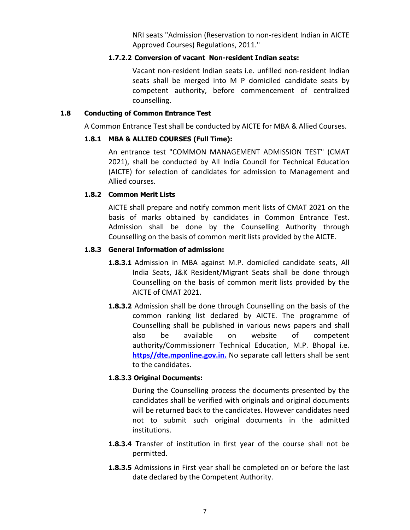NRI seats "Admission (Reservation to non-resident Indian in AICTE Approved Courses) Regulations, 2011."

#### **1.7.2.2 Conversion of vacant Non-resident Indian seats:**

Vacant non-resident Indian seats i.e. unfilled non-resident Indian seats shall be merged into M P domiciled candidate seats by competent authority, before commencement of centralized counselling.

#### **1.8 Conducting of Common Entrance Test**

A Common Entrance Test shall be conducted by AICTE for MBA & Allied Courses.

#### **1.8.1 MBA & ALLIED COURSES (Full Time):**

An entrance test "COMMON MANAGEMENT ADMISSION TEST" (CMAT 2021), shall be conducted by All India Council for Technical Education (AICTE) for selection of candidates for admission to Management and Allied courses.

#### **1.8.2 Common Merit Lists**

AICTE shall prepare and notify common merit lists of CMAT 2021 on the basis of marks obtained by candidates in Common Entrance Test. Admission shall be done by the Counselling Authority through Counselling on the basis of common merit lists provided by the AICTE.

#### **1.8.3 General Information of admission:**

- **1.8.3.1** Admission in MBA against M.P. domiciled candidate seats, All India Seats, J&K Resident/Migrant Seats shall be done through Counselling on the basis of common merit lists provided by the AICTE of CMAT 2021.
- **1.8.3.2** Admission shall be done through Counselling on the basis of the common ranking list declared by AICTE. The programme of Counselling shall be published in various news papers and shall also be available on website of competent authority/Commissionerr Technical Education, M.P. Bhopal i.e. **https//dte.mponline.gov.in.** No separate call letters shall be sent to the candidates.

#### **1.8.3.3 Original Documents:**

During the Counselling process the documents presented by the candidates shall be verified with originals and original documents will be returned back to the candidates. However candidates need not to submit such original documents in the admitted institutions.

- **1.8.3.4** Transfer of institution in first year of the course shall not be permitted.
- **1.8.3.5** Admissions in First year shall be completed on or before the last date declared by the Competent Authority.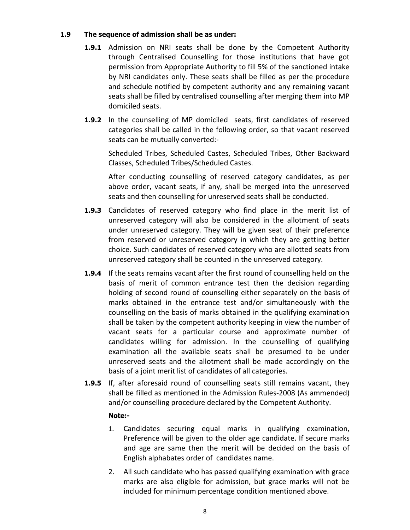#### **1.9 The sequence of admission shall be as under:**

- **1.9.1** Admission on NRI seats shall be done by the Competent Authority through Centralised Counselling for those institutions that have got permission from Appropriate Authority to fill 5% of the sanctioned intake by NRI candidates only. These seats shall be filled as per the procedure and schedule notified by competent authority and any remaining vacant seats shall be filled by centralised counselling after merging them into MP domiciled seats.
- **1.9.2** In the counselling of MP domiciled seats, first candidates of reserved categories shall be called in the following order, so that vacant reserved seats can be mutually converted:-

Scheduled Tribes, Scheduled Castes, Scheduled Tribes, Other Backward Classes, Scheduled Tribes/Scheduled Castes.

After conducting counselling of reserved category candidates, as per above order, vacant seats, if any, shall be merged into the unreserved seats and then counselling for unreserved seats shall be conducted.

- **1.9.3** Candidates of reserved category who find place in the merit list of unreserved category will also be considered in the allotment of seats under unreserved category. They will be given seat of their preference from reserved or unreserved category in which they are getting better choice. Such candidates of reserved category who are allotted seats from unreserved category shall be counted in the unreserved category.
- **1.9.4** If the seats remains vacant after the first round of counselling held on the basis of merit of common entrance test then the decision regarding holding of second round of counselling either separately on the basis of marks obtained in the entrance test and/or simultaneously with the counselling on the basis of marks obtained in the qualifying examination shall be taken by the competent authority keeping in view the number of vacant seats for a particular course and approximate number of candidates willing for admission. In the counselling of qualifying examination all the available seats shall be presumed to be under unreserved seats and the allotment shall be made accordingly on the basis of a joint merit list of candidates of all categories.
- **1.9.5** If, after aforesaid round of counselling seats still remains vacant, they shall be filled as mentioned in the Admission Rules-2008 (As ammended) and/or counselling procedure declared by the Competent Authority.

#### **Note:-**

- 1. Candidates securing equal marks in qualifying examination, Preference will be given to the older age candidate. If secure marks and age are same then the merit will be decided on the basis of English alphabates order of candidates name.
- 2. All such candidate who has passed qualifying examination with grace marks are also eligible for admission, but grace marks will not be included for minimum percentage condition mentioned above.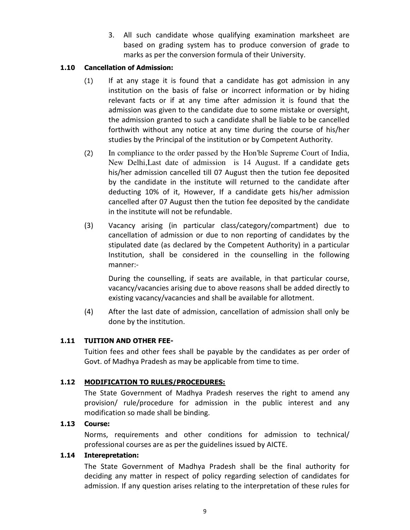3. All such candidate whose qualifying examination marksheet are based on grading system has to produce conversion of grade to marks as per the conversion formula of their University.

#### **1.10 Cancellation of Admission:**

- (1) If at any stage it is found that a candidate has got admission in any institution on the basis of false or incorrect information or by hiding relevant facts or if at any time after admission it is found that the admission was given to the candidate due to some mistake or oversight, the admission granted to such a candidate shall be liable to be cancelled forthwith without any notice at any time during the course of his/her studies by the Principal of the institution or by Competent Authority.
- (2) In compliance to the order passed by the Hon'ble Supreme Court of India, New Delhi,Last date of admission is 14 August. If a candidate gets his/her admission cancelled till 07 August then the tution fee deposited by the candidate in the institute will returned to the candidate after deducting 10% of it, However, If a candidate gets his/her admission cancelled after 07 August then the tution fee deposited by the candidate in the institute will not be refundable.
- (3) Vacancy arising (in particular class/category/compartment) due to cancellation of admission or due to non reporting of candidates by the stipulated date (as declared by the Competent Authority) in a particular Institution, shall be considered in the counselling in the following manner:-

During the counselling, if seats are available, in that particular course, vacancy/vacancies arising due to above reasons shall be added directly to existing vacancy/vacancies and shall be available for allotment.

(4) After the last date of admission, cancellation of admission shall only be done by the institution.

#### **1.11 TUITION AND OTHER FEE-**

Tuition fees and other fees shall be payable by the candidates as per order of Govt. of Madhya Pradesh as may be applicable from time to time.

#### **1.12 MODIFICATION TO RULES/PROCEDURES:**

The State Government of Madhya Pradesh reserves the right to amend any provision/ rule/procedure for admission in the public interest and any modification so made shall be binding.

#### **1.13 Course:**

Norms, requirements and other conditions for admission to technical/ professional courses are as per the guidelines issued by AICTE.

#### **1.14 Interepretation:**

The State Government of Madhya Pradesh shall be the final authority for deciding any matter in respect of policy regarding selection of candidates for admission. If any question arises relating to the interpretation of these rules for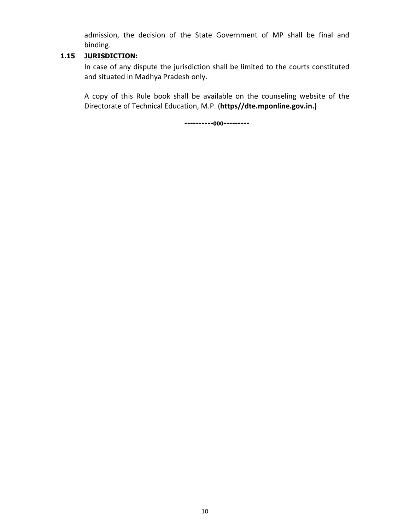admission, the decision of the State Government of MP shall be final and binding.

#### **1.15 JURISDICTION:**

In case of any dispute the jurisdiction shall be limited to the courts constituted and situated in Madhya Pradesh only.

A copy of this Rule book shall be available on the counseling website of the Directorate of Technical Education, M.P. (**https//dte.mponline.gov.in.)** 

**----------000---------**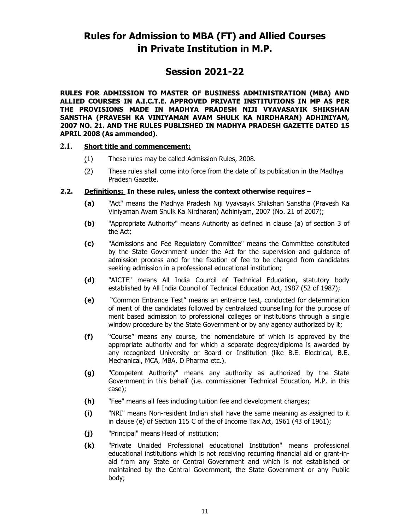### **Rules for Admission to MBA (FT) and Allied Courses in Private Institution in M.P.**

### **Session 2021-22**

**RULES FOR ADMISSION TO MASTER OF BUSINESS ADMINISTRATION (MBA) AND ALLIED COURSES IN A.I.C.T.E. APPROVED PRIVATE INSTITUTIONS IN MP AS PER THE PROVISIONS MADE IN MADHYA PRADESH NIJI VYAVASAYIK SHIKSHAN SANSTHA (PRAVESH KA VINIYAMAN AVAM SHULK KA NIRDHARAN) ADHINIYAM, 2007 NO. 21. AND THE RULES PUBLISHED IN MADHYA PRADESH GAZETTE DATED 15 APRIL 2008 (As ammended).** 

#### **2.1. Short title and commencement:**

- (1) These rules may be called Admission Rules, 2008.
- (2) These rules shall come into force from the date of its publication in the Madhya Pradesh Gazette.

#### **2.2. Definitions: In these rules, unless the context otherwise requires –**

- **(a)** "Act" means the Madhya Pradesh Niji Vyavsayik Shikshan Sanstha (Pravesh Ka Viniyaman Avam Shulk Ka Nirdharan) Adhiniyam, 2007 (No. 21 of 2007);
- **(b)** "Appropriate Authority" means Authority as defined in clause (a) of section 3 of the Act;
- **(c)** "Admissions and Fee Regulatory Committee" means the Committee constituted by the State Government under the Act for the supervision and guidance of admission process and for the fixation of fee to be charged from candidates seeking admission in a professional educational institution;
- **(d)** "AICTE" means All India Council of Technical Education, statutory body established by All India Council of Technical Education Act, 1987 (52 of 1987);
- **(e)** "Common Entrance Test" means an entrance test, conducted for determination of merit of the candidates followed by centralized counselling for the purpose of merit based admission to professional colleges or institutions through a single window procedure by the State Government or by any agency authorized by it;
- **(f)** "Course" means any course, the nomenclature of which is approved by the appropriate authority and for which a separate degree/diploma is awarded by any recognized University or Board or Institution (like B.E. Electrical, B.E. Mechanical, MCA, MBA, D Pharma etc.).
- **(g)** "Competent Authority" means any authority as authorized by the State Government in this behalf (i.e. commissioner Technical Education, M.P. in this case);
- **(h)** "Fee" means all fees including tuition fee and development charges;
- **(i)** "NRI" means Non-resident Indian shall have the same meaning as assigned to it in clause (e) of Section 115 C of the of Income Tax Act, 1961 (43 of 1961);
- **(j)** "Principal" means Head of institution;
- **(k)** "Private Unaided Professional educational Institution" means professional educational institutions which is not receiving recurring financial aid or grant-inaid from any State or Central Government and which is not established or maintained by the Central Government, the State Government or any Public body;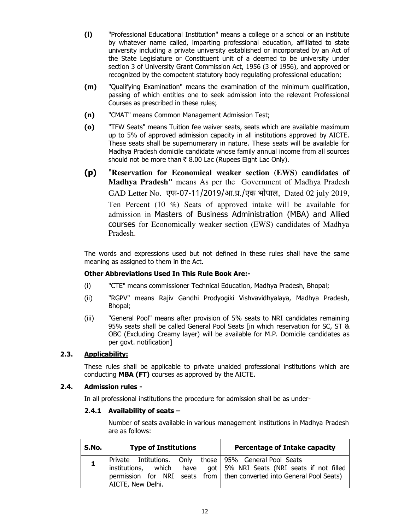- **(l)** "Professional Educational Institution" means a college or a school or an institute by whatever name called, imparting professional education, affiliated to state university including a private university established or incorporated by an Act of the State Legislature or Constituent unit of a deemed to be university under section 3 of University Grant Commission Act, 1956 (3 of 1956), and approved or recognized by the competent statutory body regulating professional education;
- **(m)** "Qualifying Examination" means the examination of the minimum qualification, passing of which entitles one to seek admission into the relevant Professional Courses as prescribed in these rules;
- **(n)** "CMAT" means Common Management Admission Test;
- **(o)** "TFW Seats" means Tuition fee waiver seats, seats which are available maximum up to 5% of approved admission capacity in all institutions approved by AICTE. These seats shall be supernumerary in nature. These seats will be available for Madhya Pradesh domicile candidate whose family annual income from all sources should not be more than  $\bar{\tau}$  8.00 Lac (Rupees Eight Lac Only).
- **(p)** "**Reservation for Economical weaker section (EWS) candidates of Madhya Pradesh"** means As per the Government of Madhya Pradesh GAD Letter No. एफ-07-11/2019/आ.प्र./एक भोपाल, Dated 02 july 2019, Ten Percent (10 %) Seats of approved intake will be available for admission in Masters of Business Administration (MBA) and Allied courses for Economically weaker section (EWS) candidates of Madhya Pradesh.

 The words and expressions used but not defined in these rules shall have the same meaning as assigned to them in the Act.

#### **Other Abbreviations Used In This Rule Book Are:-**

- (i) "CTE" means commissioner Technical Education, Madhya Pradesh, Bhopal;
- (ii) "RGPV" means Rajiv Gandhi Prodyogiki Vishvavidhyalaya, Madhya Pradesh, Bhopal;
- (iii) "General Pool" means after provision of 5% seats to NRI candidates remaining 95% seats shall be called General Pool Seats [in which reservation for SC, ST & OBC (Excluding Creamy layer) will be available for M.P. Domicile candidates as per govt. notification]

#### **2.3. Applicability:**

 These rules shall be applicable to private unaided professional institutions which are conducting **MBA (FT)** courses as approved by the AICTE.

#### **2.4. Admission rules -**

In all professional institutions the procedure for admission shall be as under-

#### **2.4.1 Availability of seats –**

Number of seats available in various management institutions in Madhya Pradesh are as follows:

| S.No. | <b>Type of Institutions</b> | <b>Percentage of Intake capacity</b>                                                                                                                                                                      |
|-------|-----------------------------|-----------------------------------------------------------------------------------------------------------------------------------------------------------------------------------------------------------|
|       | AICTE, New Delhi.           | Private Intitutions. Only those 95% General Pool Seats<br>  institutions, which have got 5% NRI Seats (NRI seats if not filled<br>permission for NRI seats from   then converted into General Pool Seats) |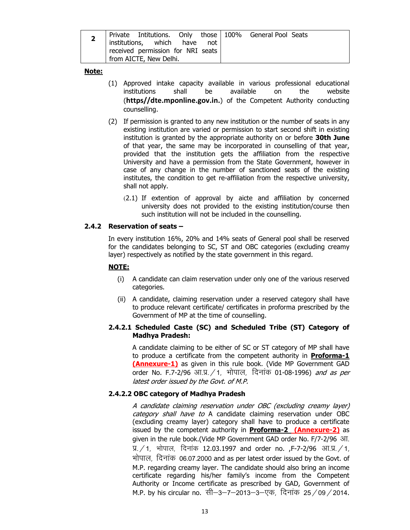| $\mathbf{z}$ | Private Intitutions. Only those   100% General Pool Seats<br>institutions, which have not |  |  |  |
|--------------|-------------------------------------------------------------------------------------------|--|--|--|
|              | received permission for NRI seats<br>I from AICTE, New Delhi.                             |  |  |  |

#### **Note:**

- (1) Approved intake capacity available in various professional educational institutions shall be available on the website (**https//dte.mponline.gov.in.**) of the Competent Authority conducting counselling.
- (2) If permission is granted to any new institution or the number of seats in any existing institution are varied or permission to start second shift in existing institution is granted by the appropriate authority on or before **30th June** of that year, the same may be incorporated in counselling of that year, provided that the institution gets the affiliation from the respective University and have a permission from the State Government, however in case of any change in the number of sanctioned seats of the existing institutes, the condition to get re-affiliation from the respective university, shall not apply.
	- (2.1) If extention of approval by aicte and affiliation by concerned university does not provided to the existing institution/course then such institution will not be included in the counselling.

#### **2.4.2 Reservation of seats –**

In every institution 16%, 20% and 14% seats of General pool shall be reserved for the candidates belonging to SC, ST and OBC categories (excluding creamy layer) respectively as notified by the state government in this regard.

#### **NOTE:**

- (i) A candidate can claim reservation under only one of the various reserved categories.
- (ii) A candidate, claiming reservation under a reserved category shall have to produce relevant certificate/ certificates in proforma prescribed by the Government of MP at the time of counselling.

#### **2.4.2.1 Scheduled Caste (SC) and Scheduled Tribe (ST) Category of Madhya Pradesh:**

A candidate claiming to be either of SC or ST category of MP shall have to produce a certificate from the competent authority in **Proforma-1 (Annexure-1)** as given in this rule book. (Vide MP Government GAD order No. F.7-2/96 आ.प्र. ⁄ 1, भोपाल, दिनांक 01-08-1996) *and as per* latest order issued by the Govt. of M.P.

#### **2.4.2.2 OBC category of Madhya Pradesh**

A candidate claiming reservation under OBC (excluding creamy layer) category shall have to A candidate claiming reservation under OBC (excluding creamy layer) category shall have to produce a certificate issued by the competent authority in **Proforma-2 (Annexure-2)** as given in the rule book.(Vide MP Government GAD order No. F/7-2/96 3T. प्र.  $/$  1, भोपाल, दिनांक 12.03.1997 and order no. ,F-7-2/96 आ.प्र.  $/$  1, भोपाल, दिनांक 06.07.2000 and as per latest order issued by the Govt. of M.P. regarding creamy layer. The candidate should also bring an income certificate regarding his/her family's income from the Competent Authority or Income certificate as prescribed by GAD, Government of M.P. by his circular no. सी–3–7–2013–3–एक, दिनांक 25/09/2014.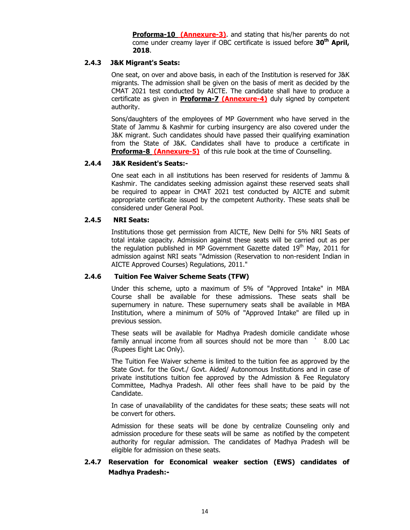**Proforma-10 (Annexure-3)**. and stating that his/her parents do not come under creamy layer if OBC certificate is issued before **30th April, 2018**.

#### **2.4.3 J&K Migrant's Seats:**

One seat, on over and above basis, in each of the Institution is reserved for J&K migrants. The admission shall be given on the basis of merit as decided by the CMAT 2021 test conducted by AICTE. The candidate shall have to produce a certificate as given in **Proforma-7 (Annexure-4)** duly signed by competent authority.

Sons/daughters of the employees of MP Government who have served in the State of Jammu & Kashmir for curbing insurgency are also covered under the J&K migrant. Such candidates should have passed their qualifying examination from the State of J&K. Candidates shall have to produce a certificate in **Proforma-8 (Annexure-5)** of this rule book at the time of Counselling.

#### **2.4.4 J&K Resident's Seats:-**

One seat each in all institutions has been reserved for residents of Jammu & Kashmir. The candidates seeking admission against these reserved seats shall be required to appear in CMAT 2021 test conducted by AICTE and submit appropriate certificate issued by the competent Authority. These seats shall be considered under General Pool.

#### **2.4.5 NRI Seats:**

Institutions those get permission from AICTE, New Delhi for 5% NRI Seats of total intake capacity. Admission against these seats will be carried out as per the regulation published in MP Government Gazette dated  $19<sup>th</sup>$  May, 2011 for admission against NRI seats "Admission (Reservation to non-resident Indian in AICTE Approved Courses) Regulations, 2011."

#### **2.4.6 Tuition Fee Waiver Scheme Seats (TFW)**

Under this scheme, upto a maximum of 5% of "Approved Intake" in MBA Course shall be available for these admissions. These seats shall be supernumery in nature. These supernumery seats shall be available in MBA Institution, where a minimum of 50% of "Approved Intake" are filled up in previous session.

These seats will be available for Madhya Pradesh domicile candidate whose family annual income from all sources should not be more than ` 8.00 Lac (Rupees Eight Lac Only).

The Tuition Fee Waiver scheme is limited to the tuition fee as approved by the State Govt. for the Govt./ Govt. Aided/ Autonomous Institutions and in case of private institutions tuition fee approved by the Admission & Fee Regulatory Committee, Madhya Pradesh. All other fees shall have to be paid by the Candidate.

In case of unavailability of the candidates for these seats; these seats will not be convert for others.

Admission for these seats will be done by centralize Counseling only and admission procedure for these seats will be same as notified by the competent authority for regular admission. The candidates of Madhya Pradesh will be eligible for admission on these seats.

#### **2.4.7 Reservation for Economical weaker section (EWS) candidates of Madhya Pradesh:-**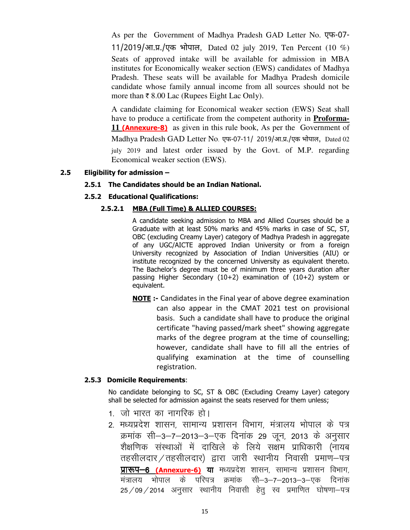As per the Government of Madhya Pradesh GAD Letter No. एफ 11/2019/आ.प्र./एक भोपाल, Dated 02 july 2019, Ten Percent (10 %) Seats of approved intake will be available for admission in MBA institutes for Economically weaker section (EWS) candidates of Madhya Pradesh. These seats will be available for Madhya Pradesh domicile candidate whose family annual income from all sources should not be more than  $\bar{\tau}$  8.00 Lac (Rupees Eight Lac Only).

A candidate claiming for Economical weaker section (EWS) Seat shall have to produce a certificate from the competent authority in **Proforma-11 (Annexure-8)** as given in this rule book, As per the Government of Madhya Pradesh GAD Letter No. एफ-07-11/ 2019/आ.प्र./एक भोपाल, Dated 02 july 2019 and latest order issued by the Govt. of M.P. regarding Economical weaker section (EWS).

#### **2.5 Eligibility for admission –**

#### **2.5.1 The Candidates should be an Indian National.**

#### **2.5.2 Educational Qualifications:**

#### **2.5.2.1 MBA (Full Time) & ALLIED COURSES:**

A candidate seeking admission to MBA and Allied Courses should be a Graduate with at least 50% marks and 45% marks in case of SC, ST, OBC (excluding Creamy Layer) category of Madhya Pradesh in aggregate of any UGC/AICTE approved Indian University or from a foreign University recognized by Association of Indian Universities (AIU) or institute recognized by the concerned University as equivalent thereto. The Bachelor's degree must be of minimum three years duration after passing Higher Secondary (10+2) examination of (10+2) system or equivalent.

**NOTE :-** Candidates in the Final year of above degree examination can also appear in the CMAT 2021 test on provisional basis. Such a candidate shall have to produce the original certificate "having passed/mark sheet" showing aggregate marks of the degree program at the time of counselling; however, candidate shall have to fill all the entries of qualifying examination at the time of counselling registration.

#### **2.5.3 Domicile Requirements**:

No candidate belonging to SC, ST & OBC (Excluding Creamy Layer) category shall be selected for admission against the seats reserved for them unless;

- 1. जो भारत का नागरिक हो।
- 2. मध्यप्रदेश शासन, सामान्य प्रशासन विभाग, मंत्रालय भोपाल के पत्र क्रमांक सी–3–7–2013–3–एक दिनांक 29 जून, 2013 के अनुसार शैक्षणिक संस्थाओं में दाखिले के लिये सक्षम प्राधिकारी (नायब तहसीलदार / तहसीलदार) द्वारा जारी स्थानीय निवासी प्रमाण-पत्र **प्रारूप-6 (Annexure-6) या** मध्यप्रदेश शासन, सामान्य प्रशासन विभाग, मंत्रालय भोपाल के परिपत्र क्रमांक सी–3–7–2013–3–एक दिनांक  $25/09/2014$  अनुसार स्थानीय निवासी हेत् स्व प्रमाणित घोषणा-पत्र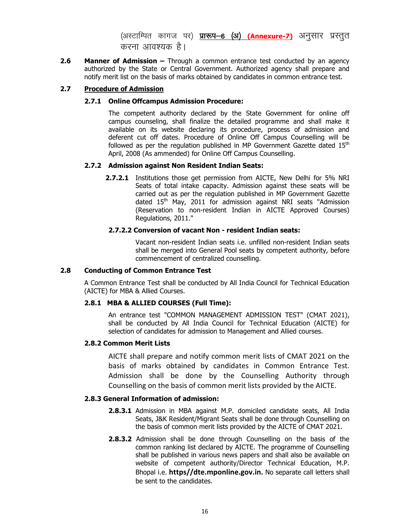(अस्टाम्पित कागज पर) **प्रारूप–6 (अ) (Annexure-7)** अनुसार प्रस्तुत करना आवश्यक है।

**2.6 Manner of Admission –** Through a common entrance test conducted by an agency authorized by the State or Central Government. Authorized agency shall prepare and notify merit list on the basis of marks obtained by candidates in common entrance test.

#### **2.7 Procedure of Admission**

#### **2.7.1 Online Offcampus Admission Procedure:**

The competent authority declared by the State Government for online off campus counseling, shall finalize the detailed programme and shall make it available on its website declaring its procedure, process of admission and deferent cut off dates. Procedure of Online Off Campus Counselling will be followed as per the regulation published in MP Government Gazette dated  $15<sup>th</sup>$ April, 2008 (As ammended) for Online Off Campus Counselling.

#### **2.7.2 Admission against Non Resident Indian Seats:**

**2.7.2.1** Institutions those get permission from AICTE, New Delhi for 5% NRI Seats of total intake capacity. Admission against these seats will be carried out as per the regulation published in MP Government Gazette dated 15<sup>th</sup> May, 2011 for admission against NRI seats "Admission (Reservation to non-resident Indian in AICTE Approved Courses) Regulations, 2011."

#### **2.7.2.2 Conversion of vacant Non - resident Indian seats:**

Vacant non-resident Indian seats i.e. unfilled non-resident Indian seats shall be merged into General Pool seats by competent authority, before commencement of centralized counselling.

#### **2.8 Conducting of Common Entrance Test**

A Common Entrance Test shall be conducted by All India Council for Technical Education (AICTE) for MBA & Allied Courses.

#### **2.8.1 MBA & ALLIED COURSES (Full Time):**

An entrance test "COMMON MANAGEMENT ADMISSION TEST" (CMAT 2021), shall be conducted by All India Council for Technical Education (AICTE) for selection of candidates for admission to Management and Allied courses.

#### **2.8.2 Common Merit Lists**

AICTE shall prepare and notify common merit lists of CMAT 2021 on the basis of marks obtained by candidates in Common Entrance Test. Admission shall be done by the Counselling Authority through Counselling on the basis of common merit lists provided by the AICTE.

#### **2.8.3 General Information of admission:**

- **2.8.3.1** Admission in MBA against M.P. domiciled candidate seats, All India Seats, J&K Resident/Migrant Seats shall be done through Counselling on the basis of common merit lists provided by the AICTE of CMAT 2021.
- **2.8.3.2** Admission shall be done through Counselling on the basis of the common ranking list declared by AICTE. The programme of Counselling shall be published in various news papers and shall also be available on website of competent authority/Director Technical Education, M.P. Bhopal i.e. **https//dte.mponline.gov.in.** No separate call letters shall be sent to the candidates.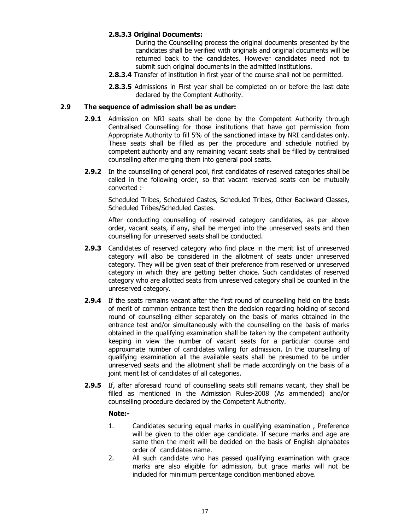#### **2.8.3.3 Original Documents:**

During the Counselling process the original documents presented by the candidates shall be verified with originals and original documents will be returned back to the candidates. However candidates need not to submit such original documents in the admitted institutions.

- **2.8.3.4** Transfer of institution in first year of the course shall not be permitted.
- **2.8.3.5** Admissions in First year shall be completed on or before the last date declared by the Comptent Authority.

#### **2.9 The sequence of admission shall be as under:**

- **2.9.1** Admission on NRI seats shall be done by the Competent Authority through Centralised Counselling for those institutions that have got permission from Appropriate Authority to fill 5% of the sanctioned intake by NRI candidates only. These seats shall be filled as per the procedure and schedule notified by competent authority and any remaining vacant seats shall be filled by centralised counselling after merging them into general pool seats.
- **2.9.2** In the counselling of general pool, first candidates of reserved categories shall be called in the following order, so that vacant reserved seats can be mutually converted :-

Scheduled Tribes, Scheduled Castes, Scheduled Tribes, Other Backward Classes, Scheduled Tribes/Scheduled Castes.

After conducting counselling of reserved category candidates, as per above order, vacant seats, if any, shall be merged into the unreserved seats and then counselling for unreserved seats shall be conducted.

- **2.9.3** Candidates of reserved category who find place in the merit list of unreserved category will also be considered in the allotment of seats under unreserved category. They will be given seat of their preference from reserved or unreserved category in which they are getting better choice. Such candidates of reserved category who are allotted seats from unreserved category shall be counted in the unreserved category.
- **2.9.4** If the seats remains vacant after the first round of counselling held on the basis of merit of common entrance test then the decision regarding holding of second round of counselling either separately on the basis of marks obtained in the entrance test and/or simultaneously with the counselling on the basis of marks obtained in the qualifying examination shall be taken by the competent authority keeping in view the number of vacant seats for a particular course and approximate number of candidates willing for admission. In the counselling of qualifying examination all the available seats shall be presumed to be under unreserved seats and the allotment shall be made accordingly on the basis of a joint merit list of candidates of all categories.
- **2.9.5** If, after aforesaid round of counselling seats still remains vacant, they shall be filled as mentioned in the Admission Rules-2008 (As ammended) and/or counselling procedure declared by the Competent Authority.

#### **Note:-**

- 1. Candidates securing equal marks in qualifying examination , Preference will be given to the older age candidate. If secure marks and age are same then the merit will be decided on the basis of English alphabates order of candidates name.
- 2. All such candidate who has passed qualifying examination with grace marks are also eligible for admission, but grace marks will not be included for minimum percentage condition mentioned above.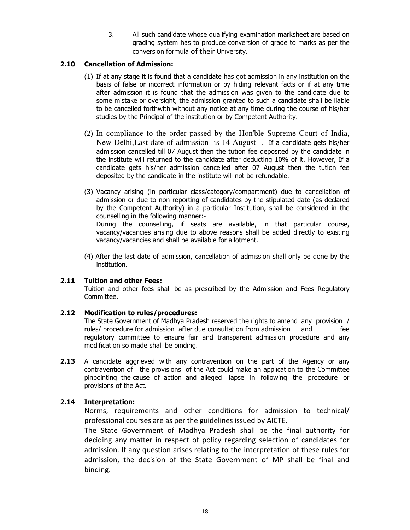3. All such candidate whose qualifying examination marksheet are based on grading system has to produce conversion of grade to marks as per the conversion formula of their University.

#### **2.10 Cancellation of Admission:**

- (1) If at any stage it is found that a candidate has got admission in any institution on the basis of false or incorrect information or by hiding relevant facts or if at any time after admission it is found that the admission was given to the candidate due to some mistake or oversight, the admission granted to such a candidate shall be liable to be cancelled forthwith without any notice at any time during the course of his/her studies by the Principal of the institution or by Competent Authority.
- (2) In compliance to the order passed by the Hon'ble Supreme Court of India, New Delhi,Last date of admission is 14 August . If a candidate gets his/her admission cancelled till 07 August then the tution fee deposited by the candidate in the institute will returned to the candidate after deducting 10% of it, However, If a candidate gets his/her admission cancelled after 07 August then the tution fee deposited by the candidate in the institute will not be refundable.
- (3) Vacancy arising (in particular class/category/compartment) due to cancellation of admission or due to non reporting of candidates by the stipulated date (as declared by the Competent Authority) in a particular Institution, shall be considered in the counselling in the following manner:-

 During the counselling, if seats are available, in that particular course, vacancy/vacancies arising due to above reasons shall be added directly to existing vacancy/vacancies and shall be available for allotment.

(4) After the last date of admission, cancellation of admission shall only be done by the institution.

#### **2.11 Tuition and other Fees:**

 Tuition and other fees shall be as prescribed by the Admission and Fees Regulatory Committee.

#### **2.12 Modification to rules/procedures:**

 The State Government of Madhya Pradesh reserved the rights to amend any provision / rules/ procedure for admission after due consultation from admission and fee regulatory committee to ensure fair and transparent admission procedure and any modification so made shall be binding.

**2.13** A candidate aggrieved with any contravention on the part of the Agency or any contravention of the provisions of the Act could make an application to the Committee pinpointing the cause of action and alleged lapse in following the procedure or provisions of the Act.

#### **2.14 Interpretation:**

Norms, requirements and other conditions for admission to technical/ professional courses are as per the guidelines issued by AICTE.

The State Government of Madhya Pradesh shall be the final authority for deciding any matter in respect of policy regarding selection of candidates for admission. If any question arises relating to the interpretation of these rules for admission, the decision of the State Government of MP shall be final and binding.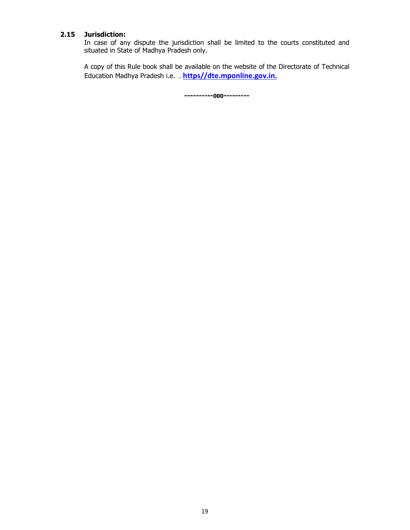#### **2.15 Jurisdiction:**

 In case of any dispute the jurisdiction shall be limited to the courts constituted and situated in State of Madhya Pradesh only.

 A copy of this Rule book shall be available on the website of the Directorate of Technical Education Madhya Pradesh i.e. . **https//dte.mponline.gov.in.**

**----------000---------**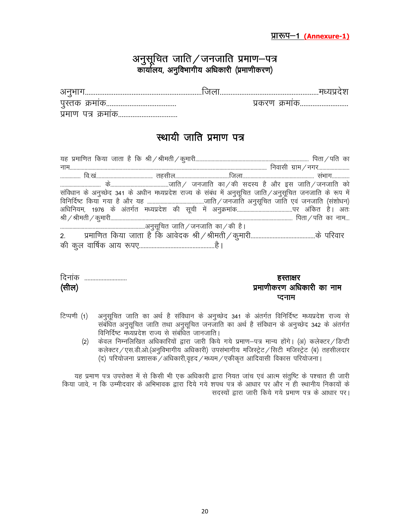### अनुसूचित जाति $\angle$ जनजाति प्रमाण–पत्र कार्यालय, अनुविभागीय अधिकारी (प्रमाणीकरण)

| v                      |   |
|------------------------|---|
|                        | . |
| u∼<br>u H<br>i U I<br> |   |

### स्थायी जाति प्रमाण पत्र

|  | संविधान के अनुच्छेद 341 के अधीन मध्यप्रदेश राज्य के संबंध में अनुसूचित जाति/अनुसूचित जनजाति के रूप में |
|--|--------------------------------------------------------------------------------------------------------|
|  |                                                                                                        |
|  |                                                                                                        |
|  |                                                                                                        |
|  |                                                                                                        |
|  |                                                                                                        |
|  |                                                                                                        |

| दिनांक | हस्ताक्षर                 |
|--------|---------------------------|
| (सील)  | प्रमाणीकरण अधिकारी का नाम |
|        | प्टनाम                    |

- टिप्पणी (1) अनुसूचित जाति का अर्थ है संविधान के अनुच्छेद 341 के अंतर्गत विनिर्दिष्ट मध्यप्रदेश राज्य से संबंधित अनुसूचित जाति तथा अनुसूचित जनजाति का अर्थ है संविधान के अनुच्छेद 342 के अंतर्गत विनिर्दिष्ट मध्यप्रदेश राज्य से संबंधित जानजाति।
	- (2) केवल निम्नलिखित अधिकारियों द्वारा जारी किये गये प्रमाण-पत्र मान्य होंगे। (अ) कलेक्टर / डिप्टी कलेक्टर / एस.डी.ओ.(अनुविभागीय अधिकारी) उपसंभागीय मजिस्ट्रेट / सिटी मजिस्ट्रेट (ब) तहसीलदार  $\sigma(\vec{k})$  परियोजना प्रशासक $\sigma/3$ धिकारी,वृहद $\sigma/4$ स्थम $\sigma/3$ कीकृत आदिवासी विकास परियोजना।

यह प्रमाण पत्र उपरोक्त में से किसी भी एक अधिकारी द्वारा नियत जांच एवं आत्म संतुष्टि के पश्चात ही जारी किया जावे, न कि उम्मीदवार के अभिभावक द्वारा दिये गये शपथ पत्र के आधार पर और न ही स्थानीय निकायों के सदस्यों द्वारा जारी किये गये प्रमाण पत्र के आधार पर।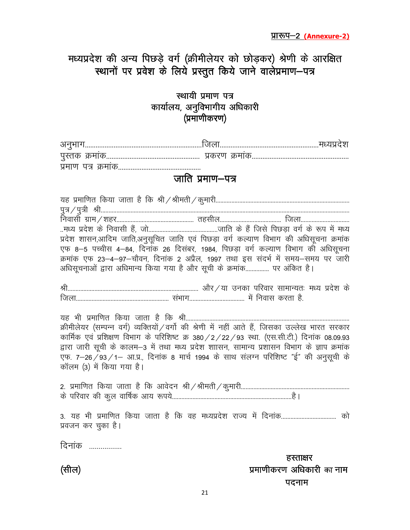मध्यप्रदेश की अन्य पिछड़े वर्ग (क्रीमीलेयर को छोड़कर) श्रेणी के आरक्षित स्थानों पर प्रवेश के लिये प्रस्तुत किये जाने वालेप्रमाण–पत्र

### स्थायी प्रमाण पत्र कार्यालय, अनुविभागीय अधिकारी (प्रमाणीकरण)

| पुरत्तक                  | ັບ. |  |
|--------------------------|-----|--|
| पमाण<br><b>UIN OPHIO</b> |     |  |

### जाति प्रमाण-पत्र

| प्रदेश शासन,आदिम जाति,अनुसूचित जाति एवं पिछड़ा वर्ग कल्याण विभाग की अधिसूचना क्रमांक             |  |                           |
|--------------------------------------------------------------------------------------------------|--|---------------------------|
| एफ 8–5 पच्चीस 4–84, दिनांक 26 दिसंबर, 1984, पिछड़ा वर्ग कल्याण विभाग की अधिसूचना                 |  |                           |
| क्रमांक एफ 23–4–97–चौवन, दिनांक 2 अप्रैल, 1997 तथा इस संदर्भ में समय–समय पर जारी                 |  |                           |
| अधिसूचनाओं द्वारा अधिमान्य किया गया है और सूची के क्रमांक पर अंकित है।                           |  |                           |
|                                                                                                  |  |                           |
|                                                                                                  |  |                           |
|                                                                                                  |  |                           |
| यह भी प्रमाणित किया जाता है कि श्री                                                              |  |                           |
| क्रीमीलेयर (सम्पन्न वर्ग) व्यक्तियों / वर्गो की श्रेणी में नहीं आते हैं, जिसका उल्लेख भारत सरकार |  |                           |
| कार्मिक एवं प्रशिक्षण विभाग के परिशिष्ट क्र 380 / 2 / 22 / 93 स्था. (एस.सी.टी.) दिनांक 08.09.93  |  |                           |
| द्वारा जारी सूची के कालम–3 में तथा मध्य प्रदेश शाासन, सामान्य प्रशासन विभाग के ज्ञाप क्रमांक     |  |                           |
| एफ. 7–26/93/1– आ.प्र., दिनांक 8 मार्च 1994 के साथ संलग्न परिशिष्ट "ई" की अनुसूची के              |  |                           |
| कॉलम (3) में किया गया है।                                                                        |  |                           |
|                                                                                                  |  |                           |
|                                                                                                  |  |                           |
|                                                                                                  |  |                           |
| 3. यह भी प्रमाणित किया जाता है कि वह मध्यप्रदेश राज्य में दिनांक को                              |  |                           |
| प्रवजन कर चुका है।                                                                               |  |                           |
| दिनांक                                                                                           |  |                           |
|                                                                                                  |  |                           |
|                                                                                                  |  | हस्ताक्षर                 |
| (सील)                                                                                            |  | प्रमाणीकरण अधिकारी का नाम |

21

पदनाम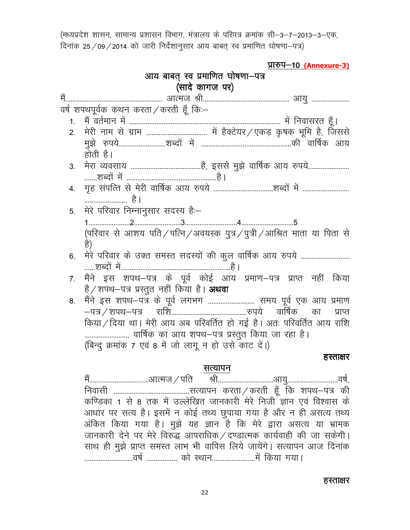(मध्यप्रदेश शासन, सामान्य प्रशासन विभाग, मंत्रालय के परिपत्र क्रमांक सी-3-7-2013-3-एक,  $f$ दिनांक 25/09/2014 को जारी निर्देशानुसार आय बाबत् स्व प्रमाणित घोषणा-पत्र)

|                | <u>प्रारुप-10 (Annexure-3)</u>                                              |
|----------------|-----------------------------------------------------------------------------|
|                | आय बाबत् स्व प्रमाणित घोषणा-पत्र                                            |
|                | (सादे कागज पर)                                                              |
| में            |                                                                             |
|                | वर्ष शपथपूर्वक कथन करता / करती हूँ कि:-                                     |
| 1 <sup>1</sup> |                                                                             |
| 2 <sup>2</sup> |                                                                             |
|                |                                                                             |
|                | होती है।                                                                    |
| 3 <sub>1</sub> |                                                                             |
|                |                                                                             |
| 4.             |                                                                             |
|                | है l                                                                        |
| 5.             | मेरे परिवार निम्नानुसार सदस्य है:-                                          |
|                |                                                                             |
|                | (परिवार से आशय पति / पत्नि / अवयस्क पुत्र / पुत्री / आश्रित माता या पिता से |
|                | है)                                                                         |
| 6.             | मेरे परिवार के उक्त समस्त सदस्यों की कुल वार्षिक आय रुपये                   |
|                |                                                                             |
| 7 <sub>1</sub> | मैंने इस शपथ–पत्र के पूर्व कोई आय प्रमाण–पत्र प्राप्त नहीं किया             |
|                | है / शपथ–पत्र प्रस्तुत नहीं किया है। <b>अथवा</b>                            |
| 8.             | मैंने इस शपथ-पत्र के पूर्व लगभग  समय पूर्व एक आय प्रमाण                     |
|                | का<br>प्राप्त                                                               |
|                | किया / दिया था। मेरी आय अब परिवर्तित हो गई है। अतः परिवर्तित आय राशि        |
|                | वार्षिक का आय शपथ–पत्र प्रस्तुत किया जा रहा है।                             |
|                | (बिन्दु क्रमांक 7 एवं 8 में जो लागू न हो उसे काट दें।)                      |
|                | हस्ताक्षर                                                                   |
|                | सत्यापन                                                                     |

eS a---------------------------------vkRet@ifr Jh-------------------------------vk;q----------------------------o"k Z] fuoklh ------------------------------------------lR;kiu djrk@djrh g w¡ fd 'kiFk&i= dh कण्डिका 1 से 8 तक में उल्लेखित जानकारी मेरे निजी ज्ञान एवं विश्वास के आधार पर सत्य है। इसमें न कोई तथ्य छुपाया गया है और न ही असत्य तथ्य अंकित किया गया है। मुझे यह ज्ञान है कि मेरे द्वारा असत्य या भ्रामक जानकारी देने पर मेरे विरुद्ध आपराधिक / दण्डात्मक कार्यवाही की जा सकेगी। ्<br>साथ ही मुझे प्राप्त समस्त लाभ भी वापिस लिये जायेंगे। सत्यापन आज दिनांक ---------------------------o"k Z ----------------- dk s LFkku------------------------e sa fd;k x;kA

#### हस्ताक्षर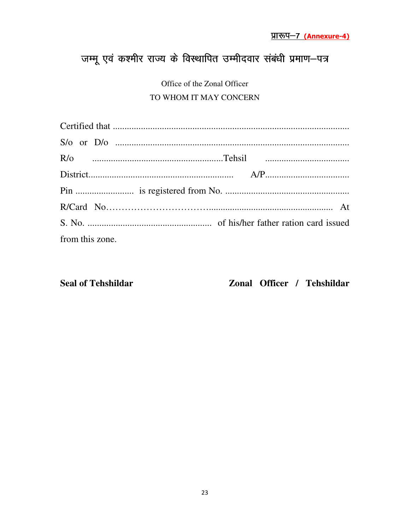## जम्मू एवं कश्मीर राज्य के विस्थापित उम्मीदवार संबंधी प्रमाण-पत्र

Office of the Zonal Officer TO WHOM IT MAY CONCERN

| from this zone. |  |
|-----------------|--|

**Seal of Tehshildar** 

Zonal Officer / Tehshildar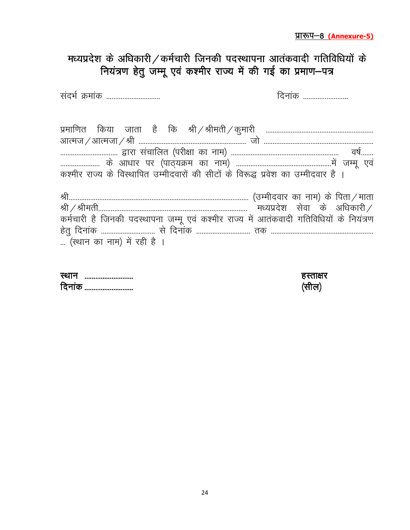### मध्यप्रदेश के अधिकारी  $/$  कर्मचारी जिनकी पदस्थापना आतंकवादी गतिविधियों के नियंत्रण हेतु जम्मू एवं कश्मीर राज्य में की गई का प्रमाण-पत्र

lanHk Z Øek ad ------------------------------ fnuk ad -------------------------

| कश्मीर राज्य के विस्थापित उम्मीदवारों की सीटों के विरूद्ध प्रवेश का उम्मीदवार है ।     |
|----------------------------------------------------------------------------------------|
|                                                                                        |
|                                                                                        |
|                                                                                        |
| कर्मचारी है जिनकी पदस्थापना जम्मू एवं कश्मीर राज्य में आतंकवादी गतिविधियों के नियंत्रण |

g srq fnuk ad ------------------------------ l s fnuk ad ------------------------------ rd --------------------------------------------------------- ... (स्थान का नाम) में रही है ।

| स्था<br><br>             |   |
|--------------------------|---|
| $\sim$ $\cdot$<br>।५<br> | . |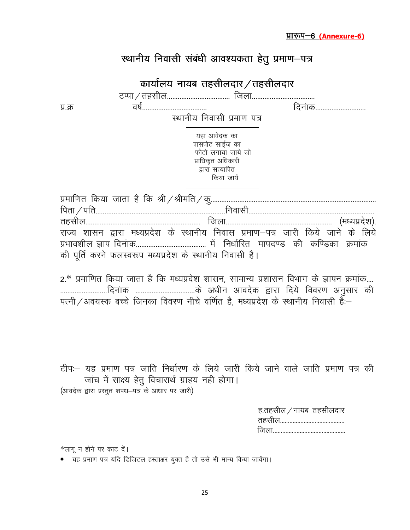| स्थानीय निवासी संबंधी आवश्यकता हेतु प्रमाण–पत्र |  |
|-------------------------------------------------|--|
|-------------------------------------------------|--|

|                                                                                  | कार्यालय नायब तहसीलदार $\angle$ तहसीलदार                                                                   |               |
|----------------------------------------------------------------------------------|------------------------------------------------------------------------------------------------------------|---------------|
|                                                                                  |                                                                                                            |               |
| प्र.क्र                                                                          |                                                                                                            | दिनांक        |
|                                                                                  | स्थानीय निवासी प्रमाण पत्र                                                                                 |               |
|                                                                                  | यहा आवेदक का<br>पासपोट साईज का<br>फोटो लगाया जाये जो<br>प्राधिकृत अधिकारी<br>द्वारा सत्यापित<br>किया जायें |               |
|                                                                                  |                                                                                                            |               |
|                                                                                  |                                                                                                            |               |
|                                                                                  |                                                                                                            | (मध्यप्रदेश). |
| राज्य शासन द्वारा मध्यप्रदेश के स्थानीय निवास प्रमाण–पत्र जारी किये जाने के लिये |                                                                                                            |               |
|                                                                                  |                                                                                                            |               |
| की पूर्ति करने फलस्वरूप मध्यप्रदेश के स्थानीय निवासी है।                         |                                                                                                            |               |

2.\* प्रमाणित किया जाता है कि मध्यप्रदेश शासन, सामान्य प्रशासन विभाग के ज्ञापन क्रमांक.... --------------------------fnu akd ---------------------------------d s v/khu vkonsd }kjk fn;s fooj.k vuqlkj dh पत्नी / अवयस्क बच्चे जिनका विवरण नीचे वर्णित है, मध्यप्रदेश के स्थानीय निवासी हैं:–

टीपः यह प्रमाण पत्र जाति निर्धारण के लिये जारी किये जाने वाले जाति प्रमाण पत्र की जांच में साक्ष्य हेतु विचारार्थ ग्राहय नही होगा। (आवदेक द्वारा प्रस्तुत शपथ–पत्र के आधार पर जारी)

| ह.तहसील $\angle$ नायब तहसीलदार |  |
|--------------------------------|--|
|                                |  |
|                                |  |

 $*$ लागू न होने पर काट दें।

• ..<br>• यह प्रमाण पत्र यदि डिजिटल हस्ताक्षर युक्त है तो उसे भी मान्य किया जावेंगा।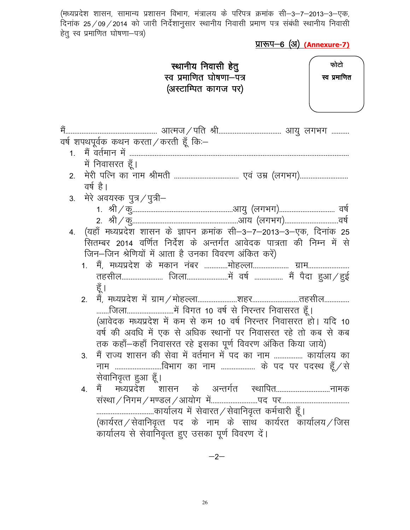(मध्यप्रदेश शासन, सामान्य प्रशासन विभाग, मंत्रालय के परिपत्र क्रमांक सी–3–7–2013–3–एक, दिनांक 25 $\,$  09 $\,$  2014 को जारी निर्देशानुसार स्थानीय निवासी प्रमाण पत्र संबंधी स्थानीय निवासी हेतु स्व प्रमाणित घोषणा—पत्र)

<u>प्रारूप-6 (अ) (Annexure-7)</u>

|    | स्थानीय निवासी हेतु<br>स्व प्रमाणित घोषणा—पत्र<br>(अस्टाम्पित कागज पर)                                                                                                                                                                                         | फोटो<br>स्व प्रमाणित |
|----|----------------------------------------------------------------------------------------------------------------------------------------------------------------------------------------------------------------------------------------------------------------|----------------------|
|    | वर्ष शपथपूर्वक कथन करता ⁄ करती हूँ कि:–<br>में निवासरत हूँ।                                                                                                                                                                                                    |                      |
| 2. | वर्ष है।                                                                                                                                                                                                                                                       |                      |
|    | 3.   मेरे अवयस्क पुत्र/पुत्री–                                                                                                                                                                                                                                 |                      |
|    | 4. (यहाँ मध्यप्रदेश शासन के ज्ञापन क्रमांक सी-3-7-2013-3-एक, दिनांक 25<br>सितम्बर 2014 वर्णित निर्देश के अन्तर्गत आवेदक पात्रता की निम्न में से<br>जिन-जिन श्रेणियों में आता है उनका विवरण अंकित करें)<br>1. मैं, मध्यप्रदेश के मकान नंबर मोहल्ला ग्राम<br>हूँ |                      |
|    | 2.<br>(आवेदक मध्यप्रदेश में कम से कम 10 वर्ष निरन्तर निवासरत हो। यदि 10<br>वर्ष की अवधि में एक से अधिक स्थानों पर निवासरत रहे तो कब से कब<br>तक कहाँ–कहाँ निवासरत रहे इसका पूर्ण विवरण अंकित किया जाये)                                                        |                      |
|    | मैं राज्य शासन की सेवा में वर्तमान में पद का नाम  कार्यालय का<br>3.<br>नाम विभाग का नाम  के पद पर पदस्थ हूँ /से<br>सेवानिवृत्त हुआ हूँ।                                                                                                                        |                      |
|    | मैं मध्यप्रदेश शासन के अन्तर्गत स्थापितनामक<br>4.<br>कार्यालय में सेवारत / सेवानिवृत्त कर्मचारी हूँ ।<br>(कार्यरत/सेवानिवृत्त पद के नाम के साथ कार्यरत कार्यालय/जिस<br>कार्यालय से सेवानिवृत्त हुए उसका पूर्ण विवरण दें।                                       |                      |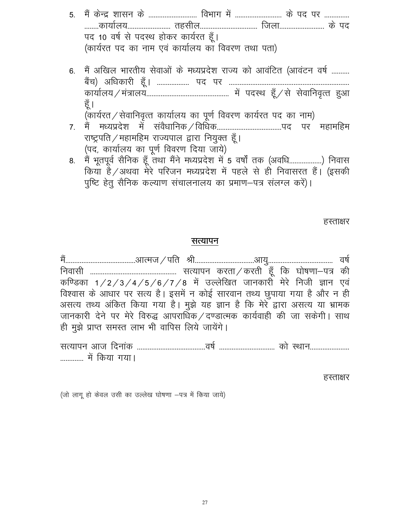| 5. मैं केन्द्र शासन के  विभाग में  के पद पर                              |
|--------------------------------------------------------------------------|
| कार्यालय तहसील जिला के पद                                                |
| पद 10 वर्ष से पदस्थ होकर कार्यरत हूँ।                                    |
| (कार्यरत पद का नाम एवं कार्यालय का विवरण तथा पता)                        |
|                                                                          |
| 6.  मैं अखिल भारतीय सेवाओं के मध्यप्रदेश राज्य को आवंटित (आवंटन वर्ष     |
|                                                                          |
|                                                                          |
| हूँ ।                                                                    |
| (कार्यरत / सेवानिवृत्त कार्यालय का पूर्ण विवरण कार्यरत पद का नाम)        |
|                                                                          |
| राष्ट्रपति / महामहिम राज्यपाल द्वारा नियुक्त हूँ।                        |
| (पद, कार्यालय का पूर्ण विवरण दिया जाये)                                  |
| 8. मैं भतपर्व सैनिक हँ तथा मैंने मध्यप्रदेश में 5 वर्षों तक (अवधि) निवास |

8. मैं भूतपूर्व सैनिक हूँ तथा मैंने मध्यप्रदेश में 5 वर्षों तक (अवधि..................) निवास किया है ⁄ अथवा मेरे परिजन मध्यप्रदेश में पहले से ही निवासरत हैं। (इसकी पुष्टि हेतु सैनिक कल्याण संचालनालय का प्रमाण-पत्र संलग्ल करें)।

हस्ताक्षर

#### सत्यापन

eS a---------------------------------------vkRet@ifr Jh---------------------------------vk;q------------------------------------ o"k Z fuoklh ------------------------------------------------ lR;kiu djrk@djrh g w¡ fd ?kks"k.kk&i= dh कण्डिका 1/2/3/4/5/6/7/8 में उल्लेखित जानकारी मेरे निजी ज्ञान एवं विश्वास के आधार पर सत्य है। इसमें न कोई सारवान तथ्य छुपाया गया है और न ही असत्य तथ्य अंकित किया गया है। मुझे यह ज्ञान है कि मेरे द्वारा असत्य या भ्रामक जानकारी देने पर मेरे विरुद्ध आपराधिक/दण्डात्मक कार्यवाही की जा सकेगी। साथ ही मुझे प्राप्त समस्त लाभ भी वापिस लिये जायेंगे।

lR;kiu vkt fnuk ad --------------------------------------o"k Z ------------------------------- dk s LFkku---------------------- ------------- e sa fd;k x;kA

हस्ताक्षर

(जो लागू हो केवल उसी का उल्लेख घोषणा -पत्र में किया जाये)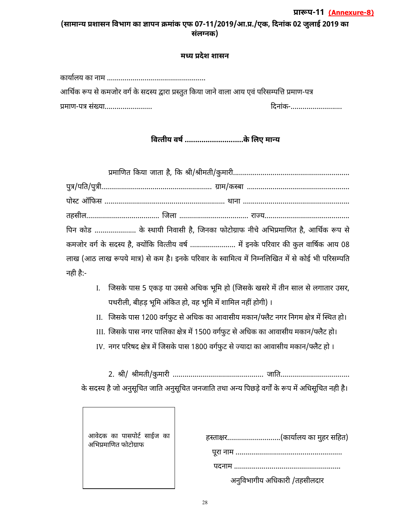#### (सामान्य प्रशासन विभाग का ज्ञापन क्रमांक एफ 07-11/2019/आ.प्र./एक, दिनांक 02 जुलाई 2019 का **संलग्नक**) प्रारूप-11 (**Annexure-8**)

#### **म( य देश शासन**

| आर्थिक रूप से कमजोर वर्ग के सदस्य द्वारा प्रस्तुत किया जाने वाला आय एवं परिसम्पत्ति प्रमाण-पत्र |         |
|-------------------------------------------------------------------------------------------------|---------|
| प्रमाण-पत्र संख्या                                                                              | दिनांक- |

वित्तीय वर्ष .............................के लिए मान्य

|          | पिन कोड  के स्थायी निवासी है, जिनका फोटोग्राफ नीचे अभिप्रमाणित है, आर्थिक रूप से                   |  |
|----------|----------------------------------------------------------------------------------------------------|--|
|          | कमजोर वर्ग के सदस्य है, क्योंकि वित्तीय वर्ष  में इनके परिवार की कुल वार्षिक आय 08                 |  |
|          | लाख (आठ लाख रूपये मात्र) से कम है। इनके परिवार के स्वामित्व में निम्नलिखित में से कोई भी परिसम्पति |  |
| नही है:- |                                                                                                    |  |

- I. जिसके पास 5 एकड़ या उससे अधिक भूमि हो (जिसके खसरे में तीन साल से लगातार उसर, पथरीली, बीहड़ भूमि अंकित हो, वह भूमि में शामिल नहीं होगी) ।
- II. जिसके पास 1200 वर्गफुट से अधिक का आवासीय मकान/फ्लैट नगर निगम क्षेत्र में स्थित हो।
- III. जिसके पास नगर पालिका क्षेत्र में 1500 वर्गफुट से अधिक का आवासीय मकान/फ्लैट हो।
- IV. नगर परिषद क्षेत्र में जिसके पास 1800 वर्गफुट से ज्यादा का आवासीय मकान/फ्लैट हो ।

 4ी 4ीमतीकु मारी जा'त के सदस्य है जो अनुसूचित जाति अनुसूचित जनजाति तथा अन्य पिछड़े वर्गों के रूप में अधिसूचित नही है।

| हस्ताक्षर(कार्यालय का मुहर सहित) |
|----------------------------------|
|                                  |
|                                  |
| अनुविभागीय अधिकारी /तहसीलदार     |

आवेदक का पासपोट साईज का

अभिप्रमाणित फोटोग्राफ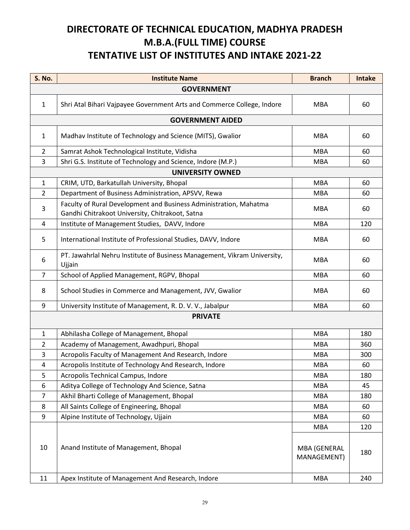### **DIRECTORATE OF TECHNICAL EDUCATION, MADHYA PRADESH M.B.A.(FULL TIME) COURSE TENTATIVE LIST OF INSTITUTES AND INTAKE 2021-22**

| <b>S. No.</b>     | <b>Institute Name</b>                                                                                                | <b>Branch</b>                             | <b>Intake</b> |
|-------------------|----------------------------------------------------------------------------------------------------------------------|-------------------------------------------|---------------|
| <b>GOVERNMENT</b> |                                                                                                                      |                                           |               |
| $\mathbf{1}$      | Shri Atal Bihari Vajpayee Government Arts and Commerce College, Indore                                               | <b>MBA</b>                                | 60            |
|                   | <b>GOVERNMENT AIDED</b>                                                                                              |                                           |               |
| $\mathbf{1}$      | Madhav Institute of Technology and Science (MITS), Gwalior                                                           | <b>MBA</b>                                | 60            |
| $\overline{2}$    | Samrat Ashok Technological Institute, Vidisha                                                                        | <b>MBA</b>                                | 60            |
| 3                 | Shri G.S. Institute of Technology and Science, Indore (M.P.)                                                         | <b>MBA</b>                                | 60            |
|                   | <b>UNIVERSITY OWNED</b>                                                                                              |                                           |               |
| $\mathbf{1}$      | CRIM, UTD, Barkatullah University, Bhopal                                                                            | <b>MBA</b>                                | 60            |
| $\overline{2}$    | Department of Business Administration, APSVV, Rewa                                                                   | <b>MBA</b>                                | 60            |
| 3                 | Faculty of Rural Development and Business Administration, Mahatma<br>Gandhi Chitrakoot University, Chitrakoot, Satna | <b>MBA</b>                                | 60            |
| 4                 | Institute of Management Studies, DAVV, Indore                                                                        | <b>MBA</b>                                | 120           |
| 5                 | International Institute of Professional Studies, DAVV, Indore                                                        | <b>MBA</b>                                | 60            |
| 6                 | PT. Jawahrlal Nehru Institute of Business Management, Vikram University,<br>Ujjain                                   | <b>MBA</b>                                | 60            |
| $\overline{7}$    | School of Applied Management, RGPV, Bhopal                                                                           | <b>MBA</b>                                | 60            |
| 8                 | School Studies in Commerce and Management, JVV, Gwalior                                                              | <b>MBA</b>                                | 60            |
| 9                 | University Institute of Management, R. D. V. V., Jabalpur                                                            | <b>MBA</b>                                | 60            |
| <b>PRIVATE</b>    |                                                                                                                      |                                           |               |
|                   |                                                                                                                      |                                           |               |
| $\mathbf{1}$      | Abhilasha College of Management, Bhopal                                                                              | <b>MBA</b>                                | 180           |
| $\overline{2}$    | Academy of Management, Awadhpuri, Bhopal                                                                             | <b>MBA</b>                                | 360           |
| 3                 | Acropolis Faculty of Management And Research, Indore                                                                 | <b>MBA</b>                                | 300           |
| $\overline{4}$    | Acropolis Institute of Technology And Research, Indore                                                               | <b>MBA</b>                                | 60            |
| 5                 | Acropolis Technical Campus, Indore                                                                                   | <b>MBA</b>                                | 180           |
| 6                 | Aditya College of Technology And Science, Satna                                                                      | <b>MBA</b>                                | 45            |
| $\overline{7}$    | Akhil Bharti College of Management, Bhopal                                                                           | <b>MBA</b>                                | 180           |
| 8                 | All Saints College of Engineering, Bhopal                                                                            | <b>MBA</b>                                | 60            |
| 9                 | Alpine Institute of Technology, Ujjain                                                                               | <b>MBA</b>                                | 60            |
| 10                | Anand Institute of Management, Bhopal                                                                                | <b>MBA</b><br>MBA (GENERAL<br>MANAGEMENT) | 120<br>180    |
| 11                | Apex Institute of Management And Research, Indore                                                                    | <b>MBA</b>                                | 240           |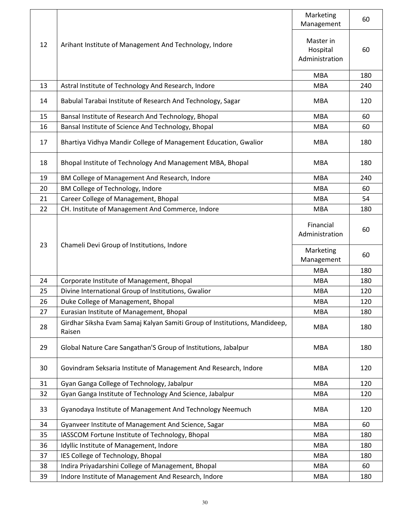|    |                                                                                     | Marketing<br>Management                 | 60  |
|----|-------------------------------------------------------------------------------------|-----------------------------------------|-----|
| 12 | Arihant Institute of Management And Technology, Indore                              | Master in<br>Hospital<br>Administration | 60  |
|    |                                                                                     | <b>MBA</b>                              | 180 |
| 13 | Astral Institute of Technology And Research, Indore                                 | <b>MBA</b>                              | 240 |
| 14 | Babulal Tarabai Institute of Research And Technology, Sagar                         | <b>MBA</b>                              | 120 |
| 15 | Bansal Institute of Research And Technology, Bhopal                                 | <b>MBA</b>                              | 60  |
| 16 | Bansal Institute of Science And Technology, Bhopal                                  | <b>MBA</b>                              | 60  |
| 17 | Bhartiya Vidhya Mandir College of Management Education, Gwalior                     | <b>MBA</b>                              | 180 |
| 18 | Bhopal Institute of Technology And Management MBA, Bhopal                           | <b>MBA</b>                              | 180 |
| 19 | BM College of Management And Research, Indore                                       | <b>MBA</b>                              | 240 |
| 20 | BM College of Technology, Indore                                                    | <b>MBA</b>                              | 60  |
| 21 | Career College of Management, Bhopal                                                | <b>MBA</b>                              | 54  |
| 22 | CH. Institute of Management And Commerce, Indore                                    | <b>MBA</b>                              | 180 |
| 23 |                                                                                     | Financial<br>Administration             | 60  |
|    | Chameli Devi Group of Institutions, Indore                                          |                                         |     |
|    |                                                                                     | Marketing<br>Management                 | 60  |
|    |                                                                                     | <b>MBA</b>                              | 180 |
| 24 | Corporate Institute of Management, Bhopal                                           | <b>MBA</b>                              | 180 |
| 25 | Divine International Group of Institutions, Gwalior                                 | <b>MBA</b>                              | 120 |
| 26 | Duke College of Management, Bhopal                                                  | <b>MBA</b>                              | 120 |
| 27 | Eurasian Institute of Management, Bhopal                                            | <b>MBA</b>                              | 180 |
| 28 | Girdhar Siksha Evam Samaj Kalyan Samiti Group of Institutions, Mandideep,<br>Raisen | <b>MBA</b>                              | 180 |
| 29 | Global Nature Care Sangathan'S Group of Institutions, Jabalpur                      | <b>MBA</b>                              | 180 |
| 30 | Govindram Seksaria Institute of Management And Research, Indore                     | <b>MBA</b>                              | 120 |
| 31 | Gyan Ganga College of Technology, Jabalpur                                          | <b>MBA</b>                              | 120 |
| 32 | Gyan Ganga Institute of Technology And Science, Jabalpur                            | <b>MBA</b>                              | 120 |
| 33 | Gyanodaya Institute of Management And Technology Neemuch                            | <b>MBA</b>                              | 120 |
| 34 | Gyanveer Institute of Management And Science, Sagar                                 | <b>MBA</b>                              | 60  |
| 35 | IASSCOM Fortune Institute of Technology, Bhopal                                     | <b>MBA</b>                              | 180 |
| 36 | Idyllic Institute of Management, Indore                                             | <b>MBA</b>                              | 180 |
| 37 | IES College of Technology, Bhopal                                                   | <b>MBA</b>                              | 180 |
| 38 | Indira Priyadarshini College of Management, Bhopal                                  | <b>MBA</b>                              | 60  |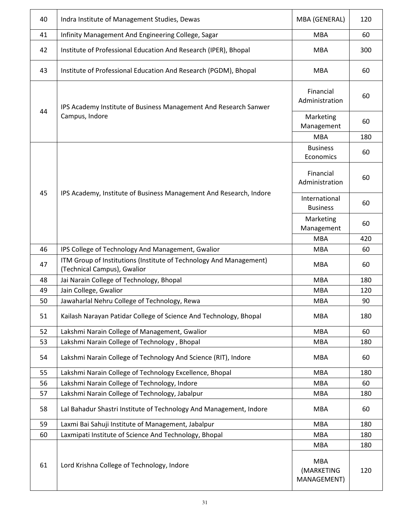| 40 | Indra Institute of Management Studies, Dewas                                                      | MBA (GENERAL)                           | 120 |
|----|---------------------------------------------------------------------------------------------------|-----------------------------------------|-----|
| 41 | Infinity Management And Engineering College, Sagar                                                | <b>MBA</b>                              | 60  |
| 42 | Institute of Professional Education And Research (IPER), Bhopal                                   | <b>MBA</b>                              | 300 |
| 43 | Institute of Professional Education And Research (PGDM), Bhopal                                   | <b>MBA</b>                              | 60  |
|    | IPS Academy Institute of Business Management And Research Sanwer                                  | Financial<br>Administration             | 60  |
| 44 | Campus, Indore                                                                                    | Marketing<br>Management                 | 60  |
|    |                                                                                                   | <b>MBA</b>                              | 180 |
|    |                                                                                                   | <b>Business</b><br>Economics            | 60  |
|    |                                                                                                   | Financial<br>Administration             | 60  |
| 45 | IPS Academy, Institute of Business Management And Research, Indore                                | International<br><b>Business</b>        | 60  |
|    |                                                                                                   | Marketing<br>Management                 | 60  |
|    |                                                                                                   | <b>MBA</b>                              | 420 |
| 46 | IPS College of Technology And Management, Gwalior                                                 | <b>MBA</b>                              | 60  |
| 47 | ITM Group of Institutions (Institute of Technology And Management)<br>(Technical Campus), Gwalior | <b>MBA</b>                              | 60  |
| 48 | Jai Narain College of Technology, Bhopal                                                          | <b>MBA</b>                              | 180 |
| 49 | Jain College, Gwalior                                                                             | <b>MBA</b>                              | 120 |
| 50 | Jawaharlal Nehru College of Technology, Rewa                                                      | <b>MBA</b>                              | 90  |
| 51 | Kailash Narayan Patidar College of Science And Technology, Bhopal                                 | <b>MBA</b>                              | 180 |
| 52 | Lakshmi Narain College of Management, Gwalior                                                     | <b>MBA</b>                              | 60  |
| 53 | Lakshmi Narain College of Technology, Bhopal                                                      | <b>MBA</b>                              | 180 |
| 54 | Lakshmi Narain College of Technology And Science (RIT), Indore                                    | <b>MBA</b>                              | 60  |
| 55 | Lakshmi Narain College of Technology Excellence, Bhopal                                           | <b>MBA</b>                              | 180 |
| 56 | Lakshmi Narain College of Technology, Indore                                                      | <b>MBA</b>                              | 60  |
| 57 | Lakshmi Narain College of Technology, Jabalpur                                                    | <b>MBA</b>                              | 180 |
| 58 | Lal Bahadur Shastri Institute of Technology And Management, Indore                                | <b>MBA</b>                              | 60  |
| 59 | Laxmi Bai Sahuji Institute of Management, Jabalpur                                                | <b>MBA</b>                              | 180 |
| 60 | Laxmipati Institute of Science And Technology, Bhopal                                             | <b>MBA</b>                              | 180 |
|    |                                                                                                   | <b>MBA</b>                              | 180 |
| 61 | Lord Krishna College of Technology, Indore                                                        | <b>MBA</b><br>(MARKETING<br>MANAGEMENT) | 120 |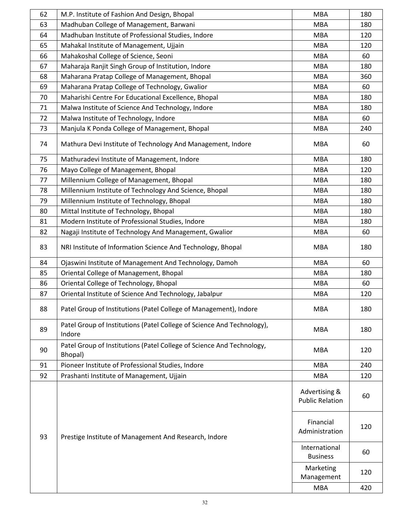| 62 | M.P. Institute of Fashion And Design, Bhopal                                     | <b>MBA</b>                              | 180 |
|----|----------------------------------------------------------------------------------|-----------------------------------------|-----|
| 63 | Madhuban College of Management, Barwani                                          | <b>MBA</b>                              | 180 |
| 64 | Madhuban Institute of Professional Studies, Indore                               | <b>MBA</b>                              | 120 |
| 65 | Mahakal Institute of Management, Ujjain                                          | <b>MBA</b>                              | 120 |
| 66 | Mahakoshal College of Science, Seoni                                             | <b>MBA</b>                              | 60  |
| 67 | Maharaja Ranjit Singh Group of Institution, Indore                               | <b>MBA</b>                              | 180 |
| 68 | Maharana Pratap College of Management, Bhopal                                    | <b>MBA</b>                              | 360 |
| 69 | Maharana Pratap College of Technology, Gwalior                                   | <b>MBA</b>                              | 60  |
| 70 | Maharishi Centre For Educational Excellence, Bhopal                              | <b>MBA</b>                              | 180 |
| 71 | Malwa Institute of Science And Technology, Indore                                | <b>MBA</b>                              | 180 |
| 72 | Malwa Institute of Technology, Indore                                            | <b>MBA</b>                              | 60  |
| 73 | Manjula K Ponda College of Management, Bhopal                                    | <b>MBA</b>                              | 240 |
| 74 | Mathura Devi Institute of Technology And Management, Indore                      | <b>MBA</b>                              | 60  |
| 75 | Mathuradevi Institute of Management, Indore                                      | <b>MBA</b>                              | 180 |
| 76 | Mayo College of Management, Bhopal                                               | <b>MBA</b>                              | 120 |
| 77 | Millennium College of Management, Bhopal                                         | <b>MBA</b>                              | 180 |
| 78 | Millennium Institute of Technology And Science, Bhopal                           | <b>MBA</b>                              | 180 |
| 79 | Millennium Institute of Technology, Bhopal                                       | <b>MBA</b>                              | 180 |
| 80 | Mittal Institute of Technology, Bhopal                                           | <b>MBA</b>                              | 180 |
| 81 | Modern Institute of Professional Studies, Indore                                 | <b>MBA</b>                              | 180 |
| 82 | Nagaji Institute of Technology And Management, Gwalior                           | <b>MBA</b>                              | 60  |
| 83 | NRI Institute of Information Science And Technology, Bhopal                      | <b>MBA</b>                              | 180 |
| 84 | Ojaswini Institute of Management And Technology, Damoh                           | <b>MBA</b>                              | 60  |
| 85 | Oriental College of Management, Bhopal                                           | <b>MBA</b>                              | 180 |
| 86 | Oriental College of Technology, Bhopal                                           | <b>MBA</b>                              | 60  |
| 87 | Oriental Institute of Science And Technology, Jabalpur                           | <b>MBA</b>                              | 120 |
| 88 | Patel Group of Institutions (Patel College of Management), Indore                | <b>MBA</b>                              | 180 |
| 89 | Patel Group of Institutions (Patel College of Science And Technology),<br>Indore | <b>MBA</b>                              | 180 |
| 90 | Patel Group of Institutions (Patel College of Science And Technology,<br>Bhopal) | <b>MBA</b>                              | 120 |
| 91 | Pioneer Institute of Professional Studies, Indore                                | <b>MBA</b>                              | 240 |
| 92 | Prashanti Institute of Management, Ujjain                                        | <b>MBA</b>                              | 120 |
| 93 | Prestige Institute of Management And Research, Indore                            | Advertising &<br><b>Public Relation</b> | 60  |
|    |                                                                                  | Financial<br>Administration             | 120 |
|    |                                                                                  | International<br><b>Business</b>        | 60  |
|    |                                                                                  | Marketing<br>Management                 | 120 |
|    |                                                                                  | <b>MBA</b>                              | 420 |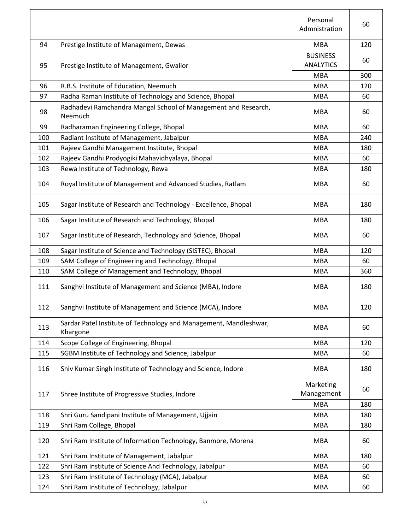|     |                                                                               | Personal<br>Admnistration           | 60  |
|-----|-------------------------------------------------------------------------------|-------------------------------------|-----|
| 94  | Prestige Institute of Management, Dewas                                       | <b>MBA</b>                          | 120 |
| 95  | Prestige Institute of Management, Gwalior                                     | <b>BUSINESS</b><br><b>ANALYTICS</b> | 60  |
|     |                                                                               | <b>MBA</b>                          | 300 |
| 96  | R.B.S. Institute of Education, Neemuch                                        | <b>MBA</b>                          | 120 |
| 97  | Radha Raman Institute of Technology and Science, Bhopal                       | <b>MBA</b>                          | 60  |
| 98  | Radhadevi Ramchandra Mangal School of Management and Research,<br>Neemuch     | <b>MBA</b>                          | 60  |
| 99  | Radharaman Engineering College, Bhopal                                        | <b>MBA</b>                          | 60  |
| 100 | Radiant Institute of Management, Jabalpur                                     | <b>MBA</b>                          | 240 |
| 101 | Rajeev Gandhi Management Institute, Bhopal                                    | <b>MBA</b>                          | 180 |
| 102 | Rajeev Gandhi Prodyogiki Mahavidhyalaya, Bhopal                               | <b>MBA</b>                          | 60  |
| 103 | Rewa Institute of Technology, Rewa                                            | <b>MBA</b>                          | 180 |
| 104 | Royal Institute of Management and Advanced Studies, Ratlam                    | <b>MBA</b>                          | 60  |
| 105 | Sagar Institute of Research and Technology - Excellence, Bhopal               | <b>MBA</b>                          | 180 |
| 106 | Sagar Institute of Research and Technology, Bhopal                            | <b>MBA</b>                          | 180 |
| 107 | Sagar Institute of Research, Technology and Science, Bhopal                   | <b>MBA</b>                          | 60  |
| 108 | Sagar Institute of Science and Technology (SISTEC), Bhopal                    | <b>MBA</b>                          | 120 |
| 109 | SAM College of Engineering and Technology, Bhopal                             | <b>MBA</b>                          | 60  |
| 110 | SAM College of Management and Technology, Bhopal                              | <b>MBA</b>                          | 360 |
| 111 | Sanghvi Institute of Management and Science (MBA), Indore                     | <b>MBA</b>                          | 180 |
| 112 | Sanghvi Institute of Management and Science (MCA), Indore                     | <b>MBA</b>                          | 120 |
| 113 | Sardar Patel Institute of Technology and Management, Mandleshwar,<br>Khargone | <b>MBA</b>                          | 60  |
| 114 | Scope College of Engineering, Bhopal                                          | <b>MBA</b>                          | 120 |
| 115 | SGBM Institute of Technology and Science, Jabalpur                            | <b>MBA</b>                          | 60  |
| 116 | Shiv Kumar Singh Institute of Technology and Science, Indore                  | <b>MBA</b>                          | 180 |
| 117 | Shree Institute of Progressive Studies, Indore                                | Marketing<br>Management             | 60  |
|     |                                                                               | <b>MBA</b>                          | 180 |
| 118 | Shri Guru Sandipani Institute of Management, Ujjain                           | <b>MBA</b>                          | 180 |
| 119 | Shri Ram College, Bhopal                                                      | <b>MBA</b>                          | 180 |
| 120 | Shri Ram Institute of Information Technology, Banmore, Morena                 | <b>MBA</b>                          | 60  |
| 121 | Shri Ram Institute of Management, Jabalpur                                    | <b>MBA</b>                          | 180 |
| 122 | Shri Ram Institute of Science And Technology, Jabalpur                        | <b>MBA</b>                          | 60  |
| 123 | Shri Ram Institute of Technology (MCA), Jabalpur                              | <b>MBA</b>                          | 60  |
| 124 | Shri Ram Institute of Technology, Jabalpur                                    | <b>MBA</b>                          | 60  |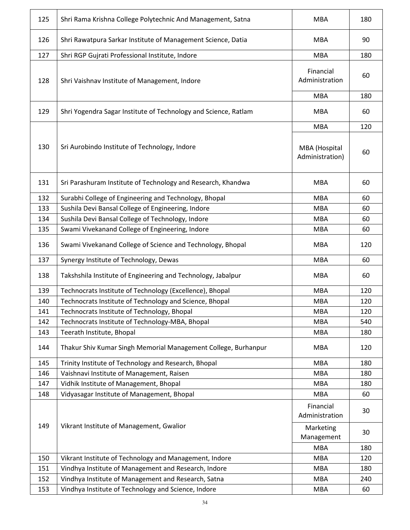| 125 | Shri Rama Krishna College Polytechnic And Management, Satna     | <b>MBA</b>                       | 180 |
|-----|-----------------------------------------------------------------|----------------------------------|-----|
| 126 | Shri Rawatpura Sarkar Institute of Management Science, Datia    | <b>MBA</b>                       | 90  |
| 127 | Shri RGP Gujrati Professional Institute, Indore                 | <b>MBA</b>                       | 180 |
| 128 | Shri Vaishnav Institute of Management, Indore                   | Financial<br>Administration      | 60  |
|     |                                                                 | <b>MBA</b>                       | 180 |
| 129 | Shri Yogendra Sagar Institute of Technology and Science, Ratlam | <b>MBA</b>                       | 60  |
|     |                                                                 | <b>MBA</b>                       | 120 |
| 130 | Sri Aurobindo Institute of Technology, Indore                   | MBA (Hospital<br>Administration) | 60  |
| 131 | Sri Parashuram Institute of Technology and Research, Khandwa    | MBA                              | 60  |
| 132 | Surabhi College of Engineering and Technology, Bhopal           | <b>MBA</b>                       | 60  |
| 133 | Sushila Devi Bansal College of Engineering, Indore              | <b>MBA</b>                       | 60  |
| 134 | Sushila Devi Bansal College of Technology, Indore               | <b>MBA</b>                       | 60  |
| 135 | Swami Vivekanand College of Engineering, Indore                 | <b>MBA</b>                       | 60  |
| 136 | Swami Vivekanand College of Science and Technology, Bhopal      | <b>MBA</b>                       | 120 |
| 137 | Synergy Institute of Technology, Dewas                          | <b>MBA</b>                       | 60  |
| 138 | Takshshila Institute of Engineering and Technology, Jabalpur    | <b>MBA</b>                       | 60  |
| 139 | Technocrats Institute of Technology (Excellence), Bhopal        | <b>MBA</b>                       | 120 |
| 140 | Technocrats Institute of Technology and Science, Bhopal         | <b>MBA</b>                       | 120 |
| 141 | Technocrats Institute of Technology, Bhopal                     | MBA                              | 120 |
| 142 | Technocrats Institute of Technology-MBA, Bhopal                 | <b>MBA</b>                       | 540 |
| 143 | Teerath Institute, Bhopal                                       | <b>MBA</b>                       | 180 |
| 144 | Thakur Shiv Kumar Singh Memorial Management College, Burhanpur  | <b>MBA</b>                       | 120 |
| 145 | Trinity Institute of Technology and Research, Bhopal            | <b>MBA</b>                       | 180 |
| 146 | Vaishnavi Institute of Management, Raisen                       | <b>MBA</b>                       | 180 |
| 147 | Vidhik Institute of Management, Bhopal                          | <b>MBA</b>                       | 180 |
| 148 | Vidyasagar Institute of Management, Bhopal                      | <b>MBA</b>                       | 60  |
| 149 | Vikrant Institute of Management, Gwalior                        | Financial<br>Administration      | 30  |
|     |                                                                 | Marketing<br>Management          | 30  |
|     |                                                                 | <b>MBA</b>                       | 180 |
| 150 | Vikrant Institute of Technology and Management, Indore          | <b>MBA</b>                       | 120 |
| 151 | Vindhya Institute of Management and Research, Indore            | <b>MBA</b>                       | 180 |
| 152 | Vindhya Institute of Management and Research, Satna             | <b>MBA</b>                       | 240 |
| 153 | Vindhya Institute of Technology and Science, Indore             | <b>MBA</b>                       | 60  |